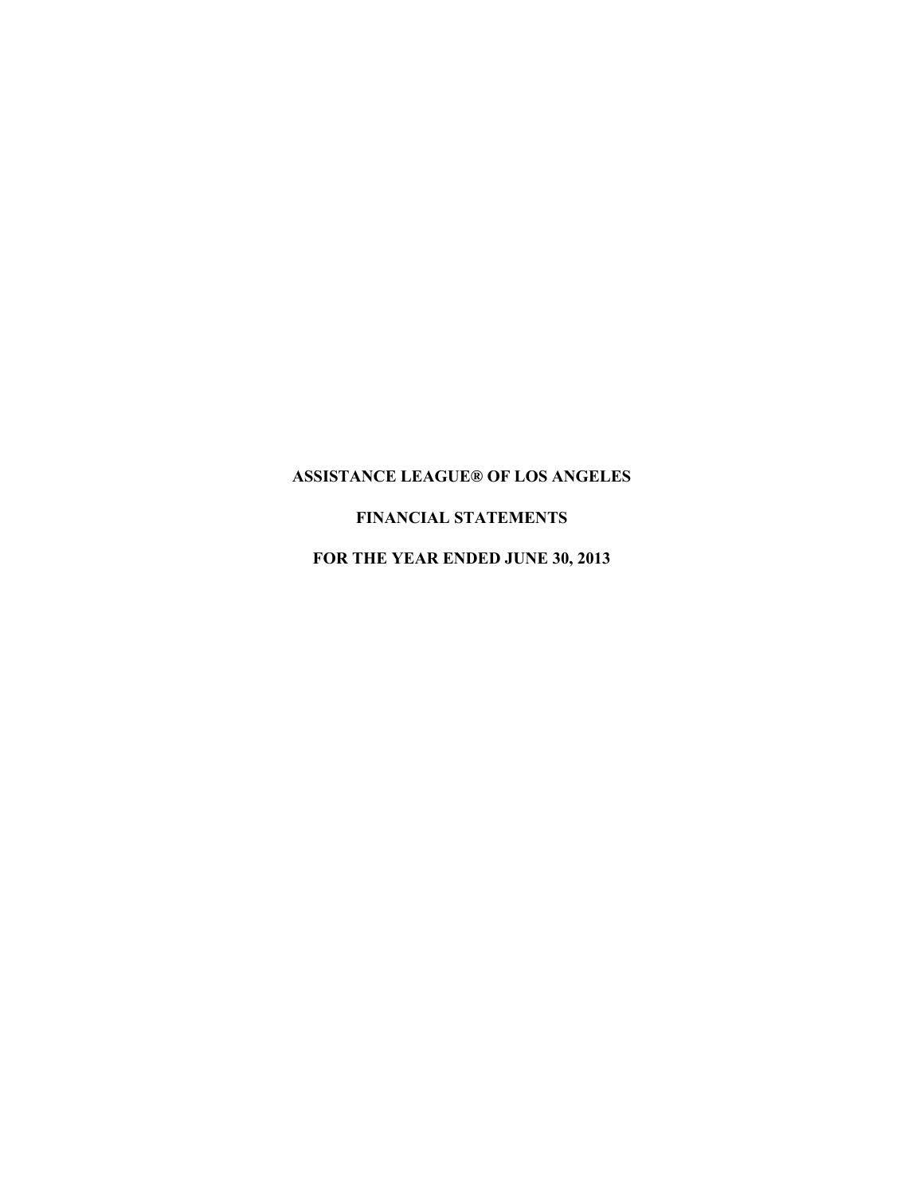# **FINANCIAL STATEMENTS**

**FOR THE YEAR ENDED JUNE 30, 2013**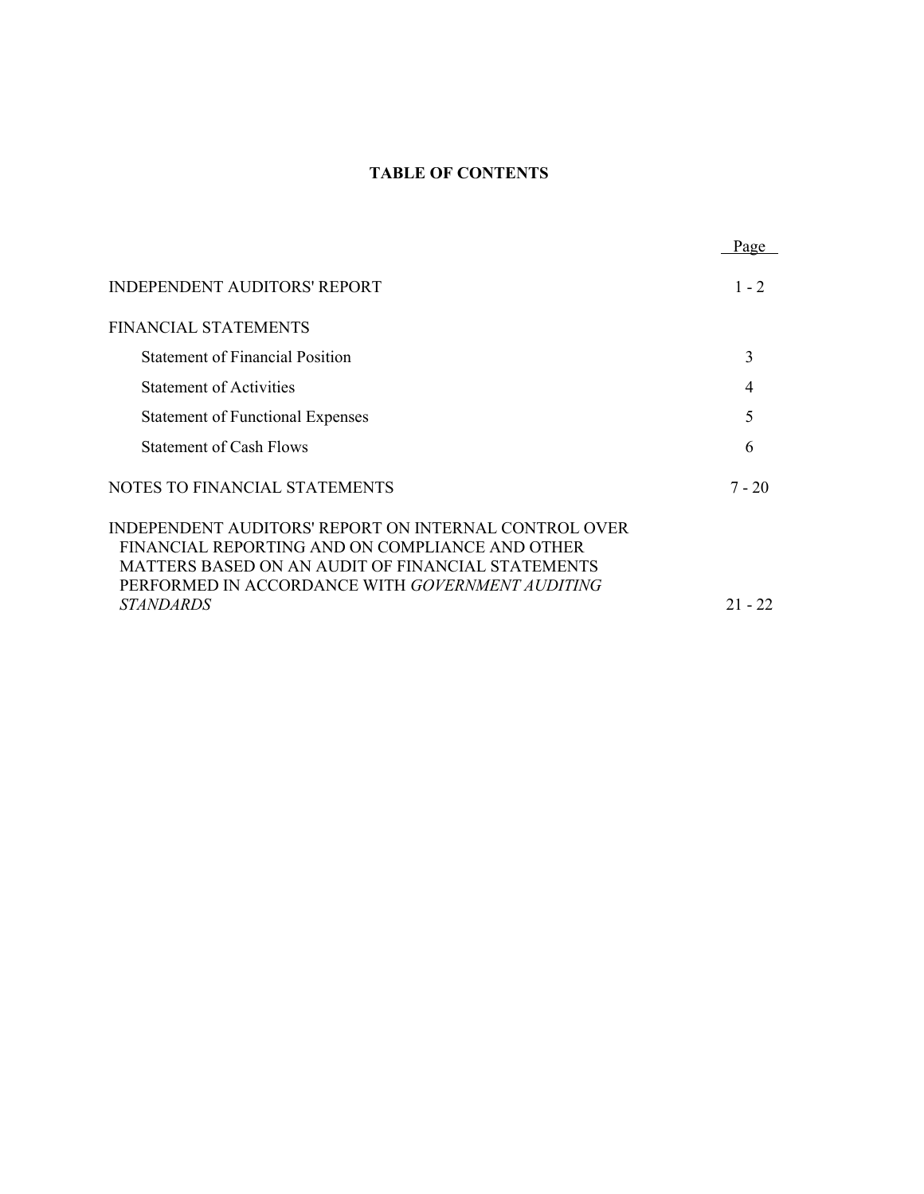# **TABLE OF CONTENTS**

|                                                                                                                                                                                                                                              | Page      |
|----------------------------------------------------------------------------------------------------------------------------------------------------------------------------------------------------------------------------------------------|-----------|
| <b>INDEPENDENT AUDITORS' REPORT</b>                                                                                                                                                                                                          | $1 - 2$   |
| <b>FINANCIAL STATEMENTS</b>                                                                                                                                                                                                                  |           |
| <b>Statement of Financial Position</b>                                                                                                                                                                                                       | 3         |
| <b>Statement of Activities</b>                                                                                                                                                                                                               | 4         |
| <b>Statement of Functional Expenses</b>                                                                                                                                                                                                      | 5         |
| <b>Statement of Cash Flows</b>                                                                                                                                                                                                               | 6         |
| NOTES TO FINANCIAL STATEMENTS                                                                                                                                                                                                                | $7 - 20$  |
| INDEPENDENT AUDITORS' REPORT ON INTERNAL CONTROL OVER<br>FINANCIAL REPORTING AND ON COMPLIANCE AND OTHER<br>MATTERS BASED ON AN AUDIT OF FINANCIAL STATEMENTS<br>PERFORMED IN ACCORDANCE WITH GOVERNMENT AUDITING<br><i><b>STANDARDS</b></i> | $21 - 22$ |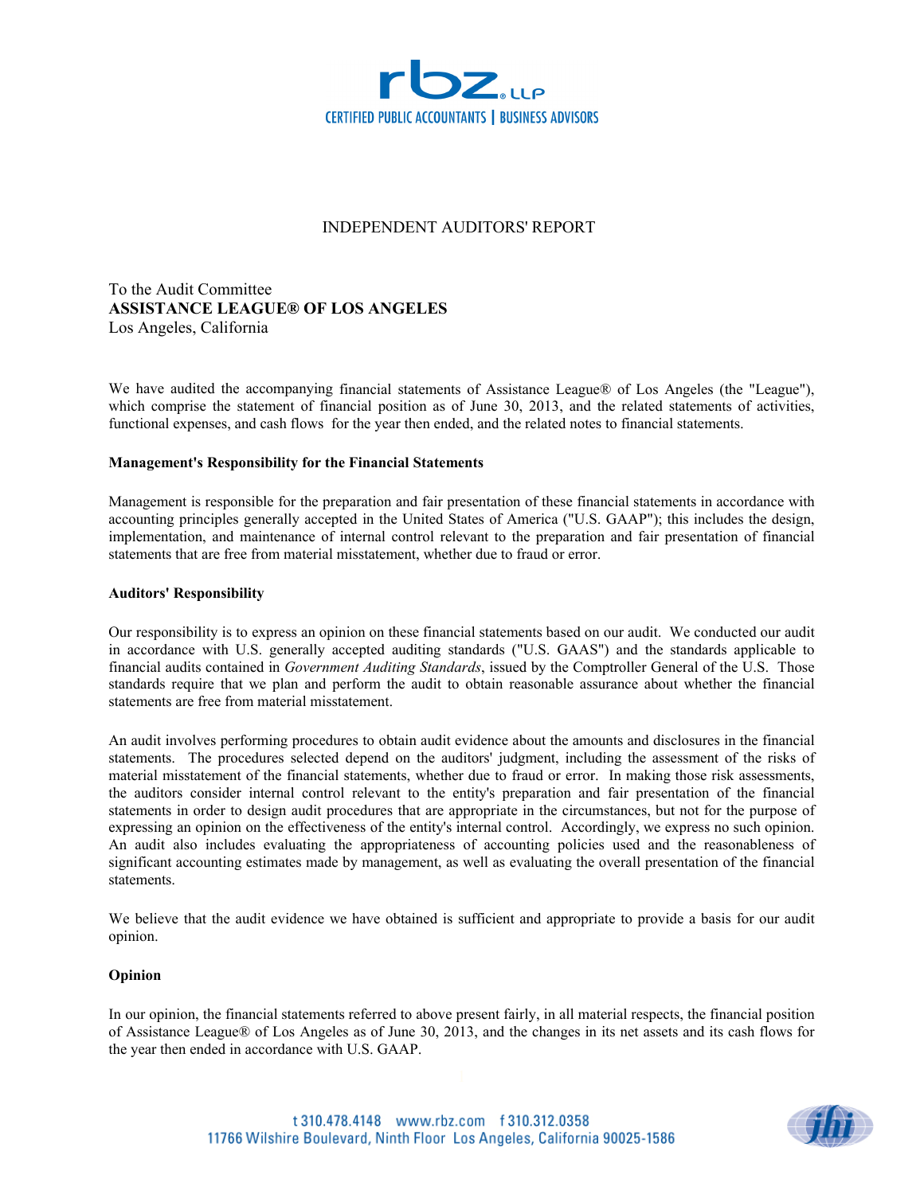

# INDEPENDENT AUDITORS' REPORT

To the Audit Committee **ASSISTANCE LEAGUE® OF LOS ANGELES** Los Angeles, California

We have audited the accompanying financial statements of Assistance League® of Los Angeles (the "League"), which comprise the statement of financial position as of June 30, 2013, and the related statements of activities, functional expenses, and cash flows for the year then ended, and the related notes to financial statements.

#### **Management's Responsibility for the Financial Statements**

Management is responsible for the preparation and fair presentation of these financial statements in accordance with accounting principles generally accepted in the United States of America ("U.S. GAAP"); this includes the design, implementation, and maintenance of internal control relevant to the preparation and fair presentation of financial statements that are free from material misstatement, whether due to fraud or error.

### **Auditors' Responsibility**

Our responsibility is to express an opinion on these financial statements based on our audit. We conducted our audit in accordance with U.S. generally accepted auditing standards ("U.S. GAAS") and the standards applicable to financial audits contained in *Government Auditing Standards*, issued by the Comptroller General of the U.S. Those standards require that we plan and perform the audit to obtain reasonable assurance about whether the financial statements are free from material misstatement.

An audit involves performing procedures to obtain audit evidence about the amounts and disclosures in the financial statements. The procedures selected depend on the auditors' judgment, including the assessment of the risks of material misstatement of the financial statements, whether due to fraud or error. In making those risk assessments, the auditors consider internal control relevant to the entity's preparation and fair presentation of the financial statements in order to design audit procedures that are appropriate in the circumstances, but not for the purpose of expressing an opinion on the effectiveness of the entity's internal control. Accordingly, we express no such opinion. An audit also includes evaluating the appropriateness of accounting policies used and the reasonableness of significant accounting estimates made by management, as well as evaluating the overall presentation of the financial statements.

We believe that the audit evidence we have obtained is sufficient and appropriate to provide a basis for our audit opinion.

#### **Opinion**

In our opinion, the financial statements referred to above present fairly, in all material respects, the financial position of Assistance League® of Los Angeles as of June 30, 2013, and the changes in its net assets and its cash flows for the year then ended in accordance with U.S. GAAP.

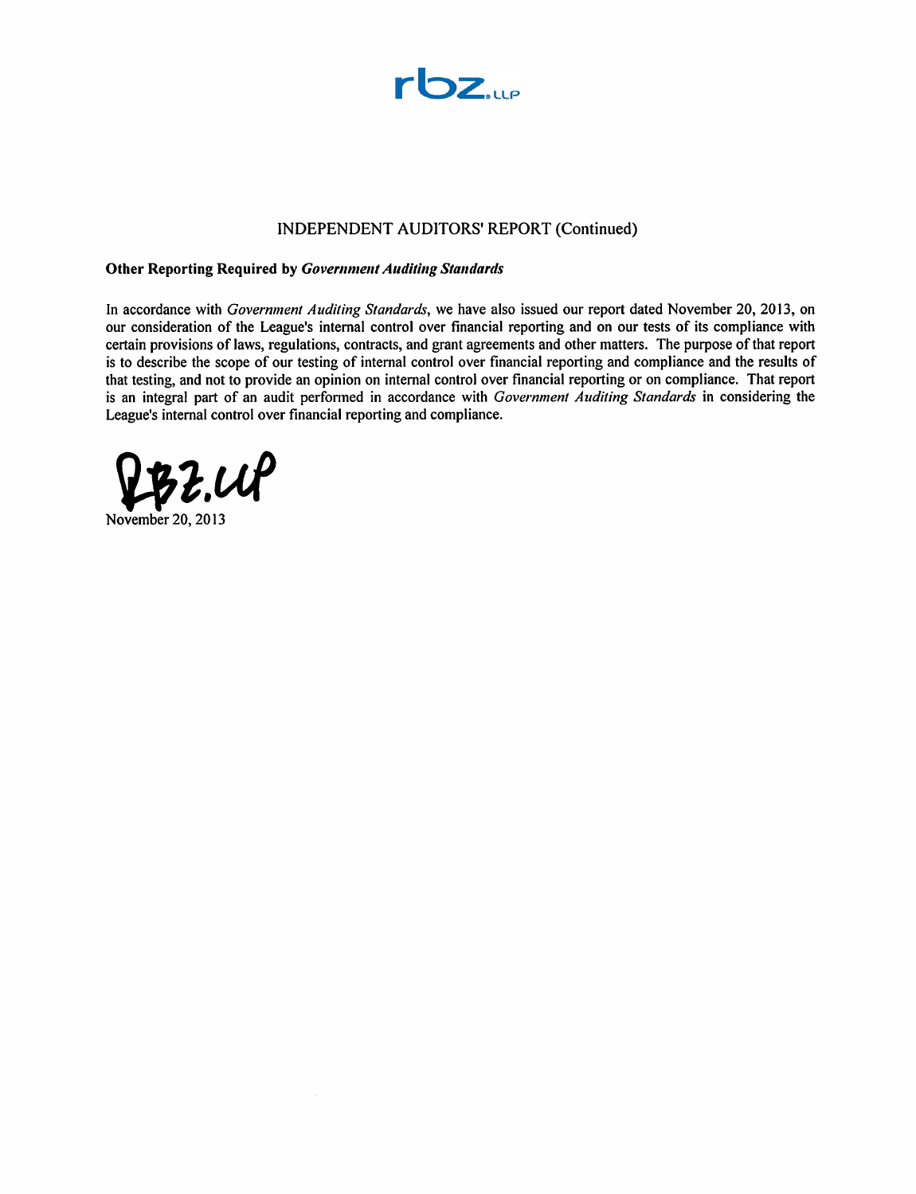

# INDEPENDENT AUDITORS' REPORT (Continued)

## **Other Reporting Required by Government Auditing Standards**

In accordance with Government Auditing Standards, we have also issued our report dated November 20, 2013, on our consideration of the League's internal control over financial reporting and on our tests of its compliance with certain provisions of laws, regulations, contracts, and grant agreements and other matters. The purpose of that report is to describe the scope of our testing of internal control over financial reporting and compliance and the results of that testing, and not to provide an opinion on internal control over financial reporting or on compliance. That report is an integral part of an audit performed in accordance with Government Auditing Standards in considering the League's internal control over financial reporting and compliance.

 $z \mathcal{A}$ 

November 20, 2013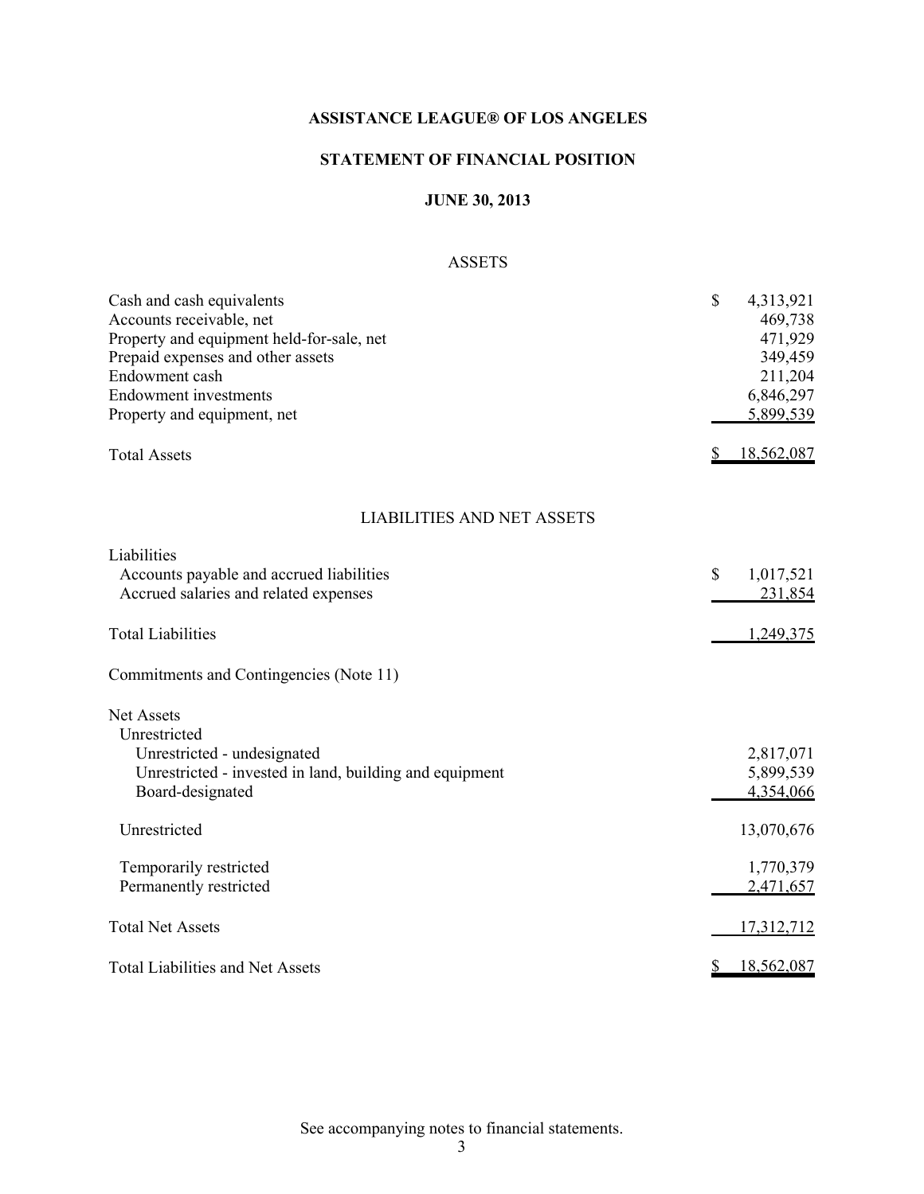# **STATEMENT OF FINANCIAL POSITION**

# **JUNE 30, 2013**

# ASSETS

| Cash and cash equivalents<br>Accounts receivable, net<br>Property and equipment held-for-sale, net<br>Prepaid expenses and other assets<br>Endowment cash<br><b>Endowment</b> investments<br>Property and equipment, net | \$<br>4,313,921<br>469,738<br>471,929<br>349,459<br>211,204<br>6,846,297<br>5,899,539 |
|--------------------------------------------------------------------------------------------------------------------------------------------------------------------------------------------------------------------------|---------------------------------------------------------------------------------------|
| <b>Total Assets</b>                                                                                                                                                                                                      | 18,562,087                                                                            |
| <b>LIABILITIES AND NET ASSETS</b>                                                                                                                                                                                        |                                                                                       |
| Liabilities<br>Accounts payable and accrued liabilities<br>Accrued salaries and related expenses                                                                                                                         | \$<br>1,017,521<br>231,854                                                            |
| <b>Total Liabilities</b>                                                                                                                                                                                                 | 1,249,375                                                                             |
| Commitments and Contingencies (Note 11)                                                                                                                                                                                  |                                                                                       |
| Net Assets<br>Unrestricted<br>Unrestricted - undesignated<br>Unrestricted - invested in land, building and equipment<br>Board-designated                                                                                 | 2,817,071<br>5,899,539<br>4,354,066                                                   |
| Unrestricted                                                                                                                                                                                                             | 13,070,676                                                                            |
| Temporarily restricted<br>Permanently restricted                                                                                                                                                                         | 1,770,379<br>2,471,657                                                                |
| <b>Total Net Assets</b>                                                                                                                                                                                                  | 17,312,712                                                                            |
| <b>Total Liabilities and Net Assets</b>                                                                                                                                                                                  | 18,562,087<br>\$                                                                      |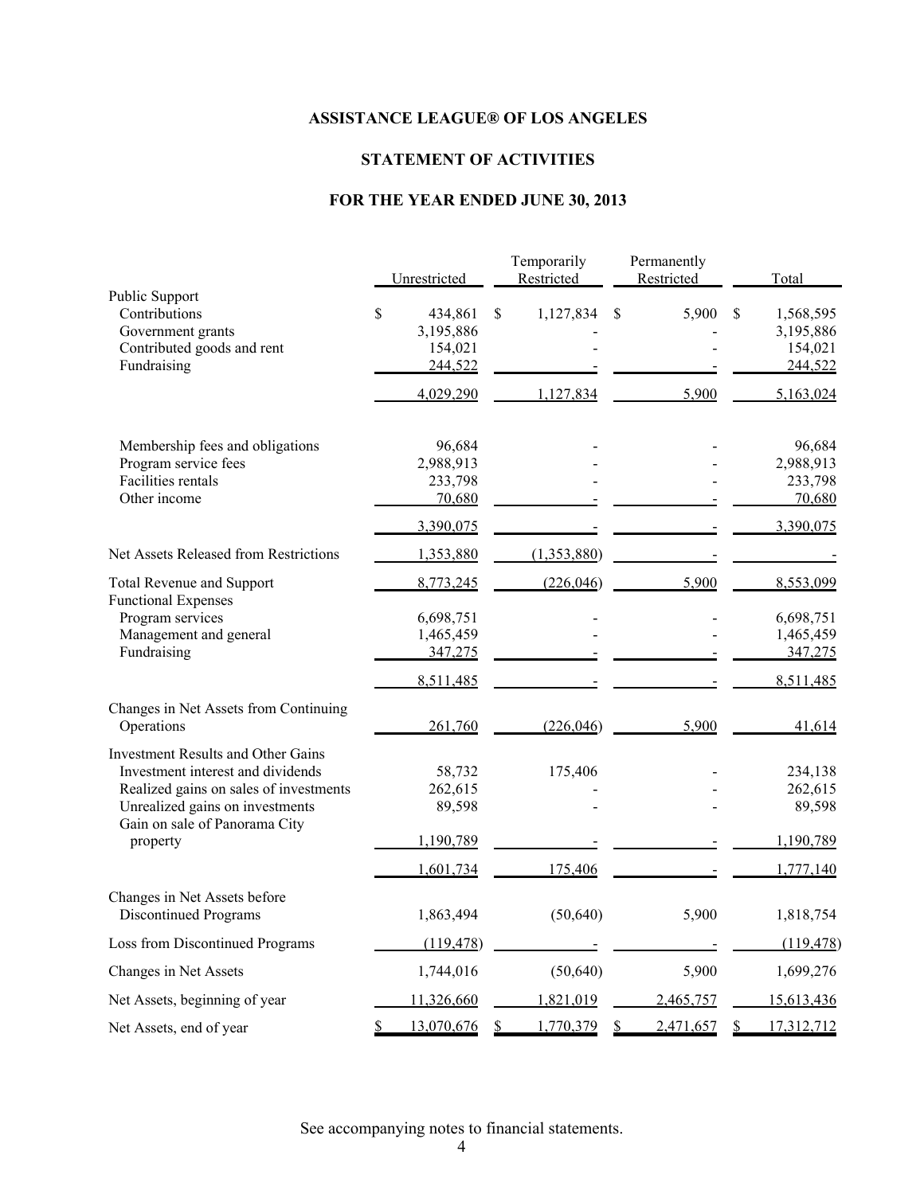# **STATEMENT OF ACTIVITIES**

# **FOR THE YEAR ENDED JUNE 30, 2013**

|                                                                                                                                                                                              | Unrestricted                | Temporarily<br>Restricted | Permanently<br>Restricted | Total                        |
|----------------------------------------------------------------------------------------------------------------------------------------------------------------------------------------------|-----------------------------|---------------------------|---------------------------|------------------------------|
| Public Support                                                                                                                                                                               |                             |                           |                           |                              |
| Contributions                                                                                                                                                                                | \$<br>434,861               | \$<br>1,127,834           | 5,900<br>\$               | \$<br>1,568,595              |
| Government grants                                                                                                                                                                            | 3,195,886                   |                           |                           | 3,195,886                    |
| Contributed goods and rent                                                                                                                                                                   | 154,021                     |                           |                           | 154,021                      |
| Fundraising                                                                                                                                                                                  | 244,522                     |                           |                           | 244,522                      |
|                                                                                                                                                                                              | 4,029,290                   | 1,127,834                 | 5,900                     | 5,163,024                    |
| Membership fees and obligations                                                                                                                                                              | 96,684                      |                           |                           | 96,684                       |
| Program service fees                                                                                                                                                                         | 2,988,913                   |                           |                           | 2,988,913                    |
| <b>Facilities rentals</b>                                                                                                                                                                    | 233,798                     |                           |                           | 233,798                      |
| Other income                                                                                                                                                                                 | 70,680                      |                           |                           | 70,680                       |
|                                                                                                                                                                                              | 3,390,075                   |                           |                           | 3,390,075                    |
| Net Assets Released from Restrictions                                                                                                                                                        | 1,353,880                   | (1,353,880)               |                           |                              |
| <b>Total Revenue and Support</b><br><b>Functional Expenses</b>                                                                                                                               | 8,773,245                   | (226, 046)                | 5,900                     | 8,553,099                    |
| Program services                                                                                                                                                                             | 6,698,751                   |                           |                           | 6,698,751                    |
| Management and general                                                                                                                                                                       | 1,465,459                   |                           |                           | 1,465,459                    |
| Fundraising                                                                                                                                                                                  | 347,275                     |                           |                           | 347,275                      |
|                                                                                                                                                                                              | 8,511,485                   |                           |                           | 8,511,485                    |
| Changes in Net Assets from Continuing<br>Operations                                                                                                                                          | 261,760                     | (226, 046)                | 5,900                     | 41,614                       |
| <b>Investment Results and Other Gains</b><br>Investment interest and dividends<br>Realized gains on sales of investments<br>Unrealized gains on investments<br>Gain on sale of Panorama City | 58,732<br>262,615<br>89,598 | 175,406                   |                           | 234,138<br>262,615<br>89,598 |
| property                                                                                                                                                                                     | 1,190,789                   |                           |                           | 1,190,789                    |
|                                                                                                                                                                                              | 1,601,734                   | 175,406                   |                           | 1,777,140                    |
| Changes in Net Assets before<br><b>Discontinued Programs</b>                                                                                                                                 | 1,863,494                   | (50, 640)                 | 5,900                     | 1,818,754                    |
| Loss from Discontinued Programs                                                                                                                                                              | (119, 478)                  |                           |                           | (119, 478)                   |
| Changes in Net Assets                                                                                                                                                                        | 1,744,016                   | (50, 640)                 | 5,900                     | 1,699,276                    |
| Net Assets, beginning of year                                                                                                                                                                | 11,326,660                  | 1,821,019                 | 2,465,757                 | 15,613,436                   |
| Net Assets, end of year                                                                                                                                                                      | \$<br>13,070,676            | 1,770,379<br>S            | \$<br>2,471,657           | 17,312,712<br>\$             |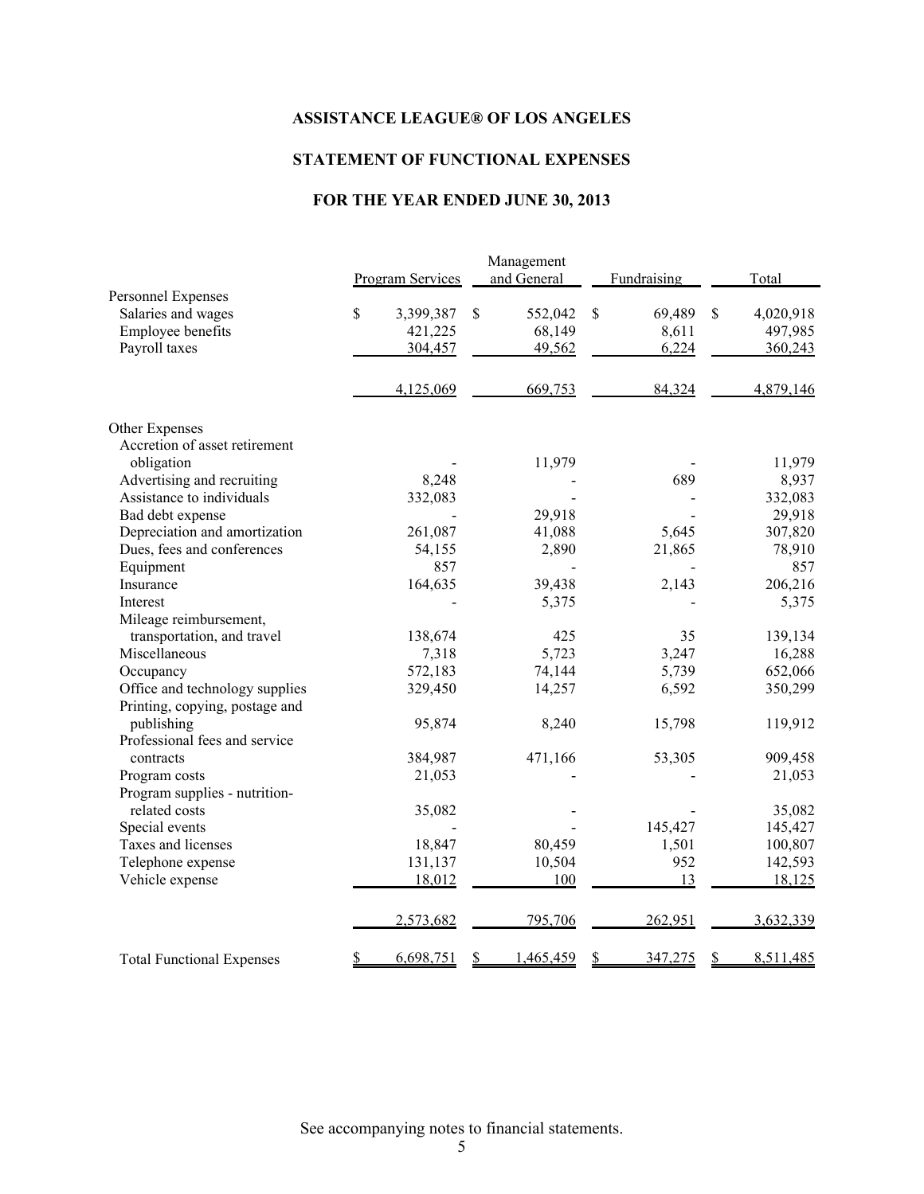# **STATEMENT OF FUNCTIONAL EXPENSES**

# **FOR THE YEAR ENDED JUNE 30, 2013**

|                                  | <b>Program Services</b> | Management<br>and General | Fundraising                       | Total                                           |
|----------------------------------|-------------------------|---------------------------|-----------------------------------|-------------------------------------------------|
| Personnel Expenses               |                         |                           |                                   |                                                 |
| Salaries and wages               | \$<br>3,399,387         | \$<br>552,042             | \$<br>69,489                      | \$<br>4,020,918                                 |
| Employee benefits                | 421,225                 | 68,149                    | 8,611                             | 497,985                                         |
| Payroll taxes                    | 304,457                 | 49,562                    | 6,224                             | 360,243                                         |
|                                  | 4,125,069               | 669,753                   | 84,324                            | 4,879,146                                       |
| Other Expenses                   |                         |                           |                                   |                                                 |
| Accretion of asset retirement    |                         |                           |                                   |                                                 |
| obligation                       |                         | 11,979                    |                                   | 11,979                                          |
| Advertising and recruiting       | 8,248                   |                           | 689                               | 8,937                                           |
| Assistance to individuals        | 332,083                 |                           |                                   | 332,083                                         |
| Bad debt expense                 |                         | 29,918                    |                                   | 29,918                                          |
| Depreciation and amortization    | 261,087                 | 41,088                    | 5,645                             | 307,820                                         |
| Dues, fees and conferences       | 54,155                  | 2,890                     | 21,865                            | 78,910                                          |
| Equipment                        | 857                     |                           |                                   | 857                                             |
| Insurance                        | 164,635                 | 39,438                    | 2,143                             | 206,216                                         |
| Interest                         |                         | 5,375                     |                                   | 5,375                                           |
| Mileage reimbursement,           |                         |                           |                                   |                                                 |
| transportation, and travel       | 138,674                 | 425                       | 35                                | 139,134                                         |
| Miscellaneous                    | 7,318                   | 5,723                     | 3,247                             | 16,288                                          |
| Occupancy                        | 572,183                 | 74,144                    | 5,739                             | 652,066                                         |
| Office and technology supplies   | 329,450                 | 14,257                    | 6,592                             | 350,299                                         |
| Printing, copying, postage and   |                         |                           |                                   |                                                 |
| publishing                       | 95,874                  | 8,240                     | 15,798                            | 119,912                                         |
| Professional fees and service    |                         |                           |                                   |                                                 |
| contracts                        | 384,987                 | 471,166                   | 53,305                            | 909,458                                         |
| Program costs                    | 21,053                  |                           |                                   | 21,053                                          |
| Program supplies - nutrition-    |                         |                           |                                   |                                                 |
| related costs                    | 35,082                  |                           |                                   | 35,082                                          |
| Special events                   |                         |                           | 145,427                           | 145,427                                         |
| Taxes and licenses               | 18,847                  | 80,459                    | 1,501                             | 100,807                                         |
| Telephone expense                | 131,137                 | 10,504                    | 952                               | 142,593                                         |
| Vehicle expense                  | 18,012                  | 100                       | 13                                | 18,125                                          |
|                                  | 2,573,682               | 795,706                   | 262,951                           | 3,632,339                                       |
| <b>Total Functional Expenses</b> | 6,698,751<br>\$         | 1,465,459<br>S            | $\mathbf{\mathcal{S}}$<br>347,275 | $\mathbf{\underline{\mathcal{S}}}$<br>8,511,485 |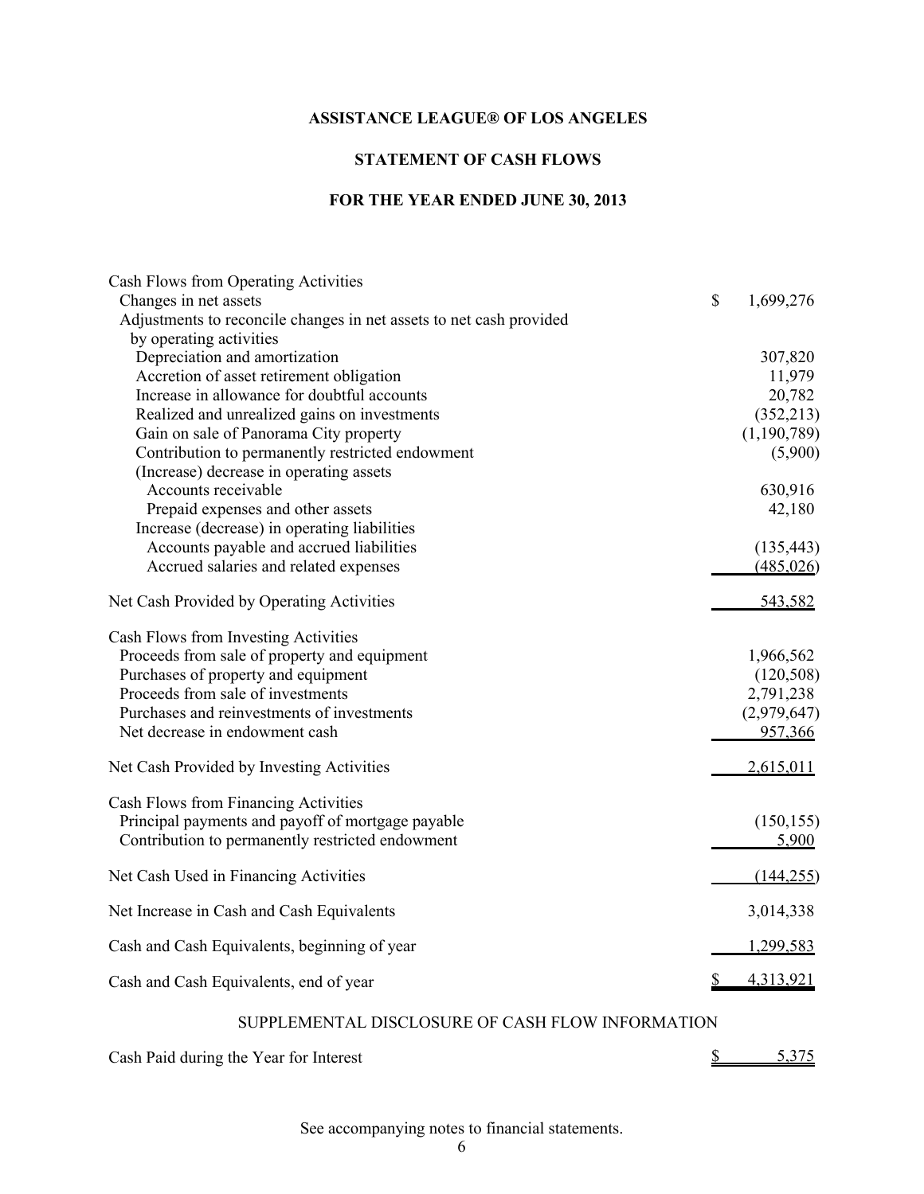# **STATEMENT OF CASH FLOWS**

# **FOR THE YEAR ENDED JUNE 30, 2013**

| Cash Flows from Operating Activities                                                         |                 |
|----------------------------------------------------------------------------------------------|-----------------|
| Changes in net assets<br>Adjustments to reconcile changes in net assets to net cash provided | \$<br>1,699,276 |
| by operating activities                                                                      |                 |
| Depreciation and amortization                                                                | 307,820         |
| Accretion of asset retirement obligation                                                     | 11,979          |
| Increase in allowance for doubtful accounts                                                  | 20,782          |
| Realized and unrealized gains on investments                                                 | (352, 213)      |
| Gain on sale of Panorama City property                                                       | (1, 190, 789)   |
| Contribution to permanently restricted endowment                                             | (5,900)         |
| (Increase) decrease in operating assets                                                      |                 |
| Accounts receivable                                                                          | 630,916         |
| Prepaid expenses and other assets                                                            | 42,180          |
| Increase (decrease) in operating liabilities                                                 |                 |
| Accounts payable and accrued liabilities                                                     | (135, 443)      |
| Accrued salaries and related expenses                                                        | (485, 026)      |
|                                                                                              |                 |
| Net Cash Provided by Operating Activities                                                    | 543,582         |
| Cash Flows from Investing Activities                                                         |                 |
| Proceeds from sale of property and equipment                                                 | 1,966,562       |
| Purchases of property and equipment                                                          | (120, 508)      |
| Proceeds from sale of investments                                                            | 2,791,238       |
| Purchases and reinvestments of investments                                                   | (2,979,647)     |
| Net decrease in endowment cash                                                               | 957,366         |
| Net Cash Provided by Investing Activities                                                    | 2,615,011       |
| Cash Flows from Financing Activities                                                         |                 |
| Principal payments and payoff of mortgage payable                                            | (150, 155)      |
| Contribution to permanently restricted endowment                                             | 5,900           |
| Net Cash Used in Financing Activities                                                        | (144, 255)      |
| Net Increase in Cash and Cash Equivalents                                                    | 3,014,338       |
| Cash and Cash Equivalents, beginning of year                                                 | 1,299,583       |
| Cash and Cash Equivalents, end of year                                                       | 4,313,921       |
|                                                                                              |                 |
| SUPPLEMENTAL DISCLOSURE OF CASH FLOW INFORMATION                                             |                 |

| Cash Paid during the Year for Interest |  | 5,375 |
|----------------------------------------|--|-------|
|----------------------------------------|--|-------|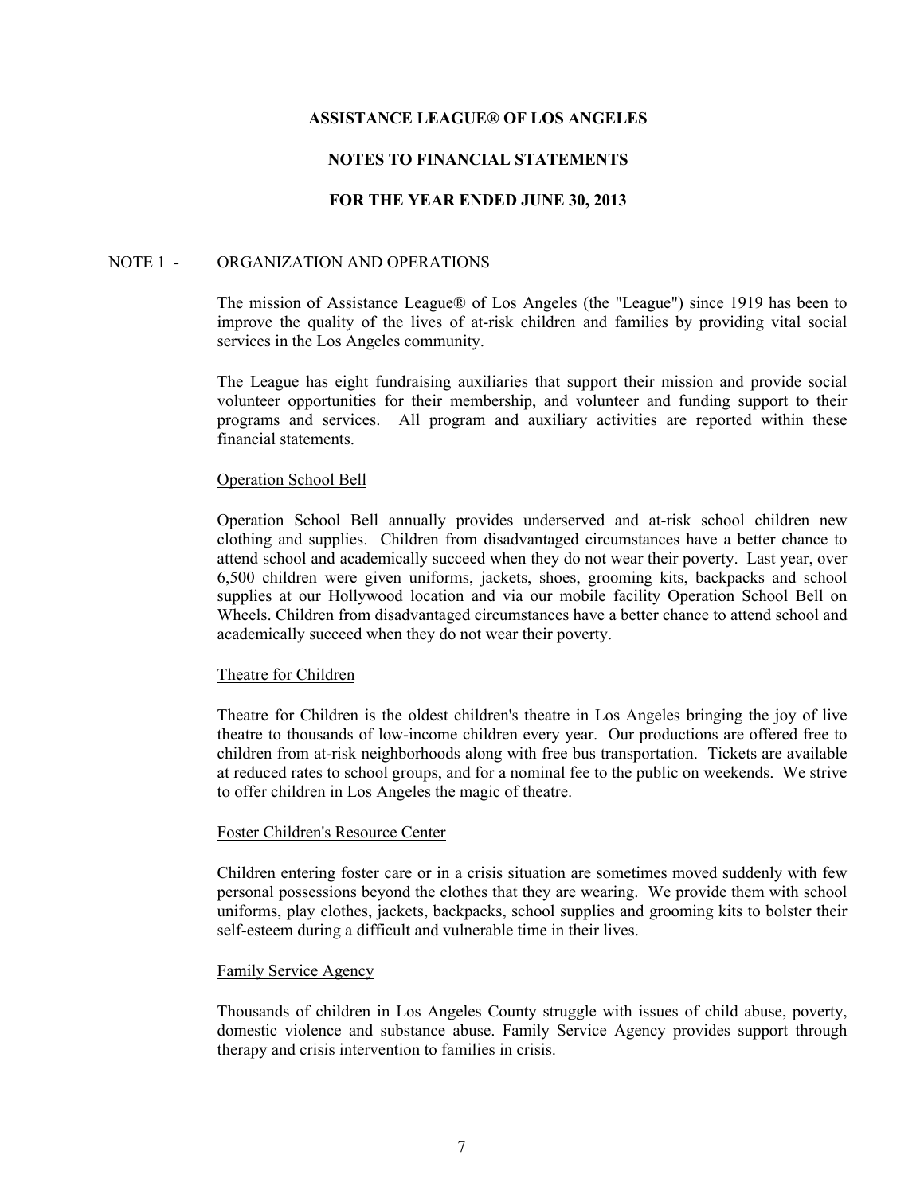# **NOTES TO FINANCIAL STATEMENTS**

## **FOR THE YEAR ENDED JUNE 30, 2013**

### NOTE 1 - ORGANIZATION AND OPERATIONS

The mission of Assistance League® of Los Angeles (the "League") since 1919 has been to improve the quality of the lives of at-risk children and families by providing vital social services in the Los Angeles community.

The League has eight fundraising auxiliaries that support their mission and provide social volunteer opportunities for their membership, and volunteer and funding support to their programs and services. All program and auxiliary activities are reported within these financial statements.

#### Operation School Bell

Operation School Bell annually provides underserved and at-risk school children new clothing and supplies. Children from disadvantaged circumstances have a better chance to attend school and academically succeed when they do not wear their poverty. Last year, over 6,500 children were given uniforms, jackets, shoes, grooming kits, backpacks and school supplies at our Hollywood location and via our mobile facility Operation School Bell on Wheels. Children from disadvantaged circumstances have a better chance to attend school and academically succeed when they do not wear their poverty.

### Theatre for Children

Theatre for Children is the oldest children's theatre in Los Angeles bringing the joy of live theatre to thousands of low-income children every year. Our productions are offered free to children from at-risk neighborhoods along with free bus transportation. Tickets are available at reduced rates to school groups, and for a nominal fee to the public on weekends. We strive to offer children in Los Angeles the magic of theatre.

#### Foster Children's Resource Center

Children entering foster care or in a crisis situation are sometimes moved suddenly with few personal possessions beyond the clothes that they are wearing. We provide them with school uniforms, play clothes, jackets, backpacks, school supplies and grooming kits to bolster their self-esteem during a difficult and vulnerable time in their lives.

### Family Service Agency

Thousands of children in Los Angeles County struggle with issues of child abuse, poverty, domestic violence and substance abuse. Family Service Agency provides support through therapy and crisis intervention to families in crisis.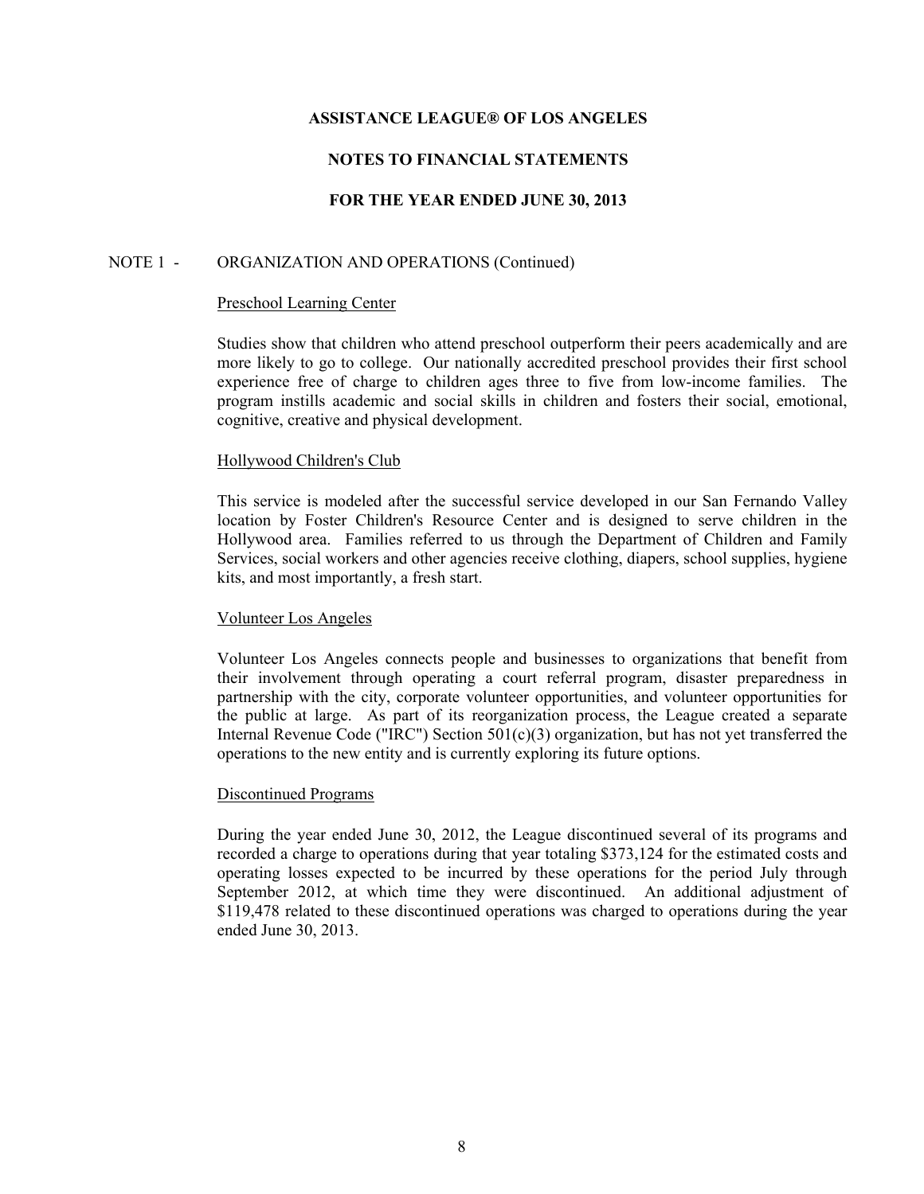# **NOTES TO FINANCIAL STATEMENTS**

# **FOR THE YEAR ENDED JUNE 30, 2013**

## NOTE 1 - ORGANIZATION AND OPERATIONS (Continued)

#### Preschool Learning Center

Studies show that children who attend preschool outperform their peers academically and are more likely to go to college. Our nationally accredited preschool provides their first school experience free of charge to children ages three to five from low-income families. The program instills academic and social skills in children and fosters their social, emotional, cognitive, creative and physical development.

### Hollywood Children's Club

This service is modeled after the successful service developed in our San Fernando Valley location by Foster Children's Resource Center and is designed to serve children in the Hollywood area. Families referred to us through the Department of Children and Family Services, social workers and other agencies receive clothing, diapers, school supplies, hygiene kits, and most importantly, a fresh start.

### Volunteer Los Angeles

Volunteer Los Angeles connects people and businesses to organizations that benefit from their involvement through operating a court referral program, disaster preparedness in partnership with the city, corporate volunteer opportunities, and volunteer opportunities for the public at large. As part of its reorganization process, the League created a separate Internal Revenue Code ("IRC") Section  $501(c)(3)$  organization, but has not yet transferred the operations to the new entity and is currently exploring its future options.

### Discontinued Programs

During the year ended June 30, 2012, the League discontinued several of its programs and recorded a charge to operations during that year totaling \$373,124 for the estimated costs and operating losses expected to be incurred by these operations for the period July through September 2012, at which time they were discontinued. An additional adjustment of \$119,478 related to these discontinued operations was charged to operations during the year ended June 30, 2013.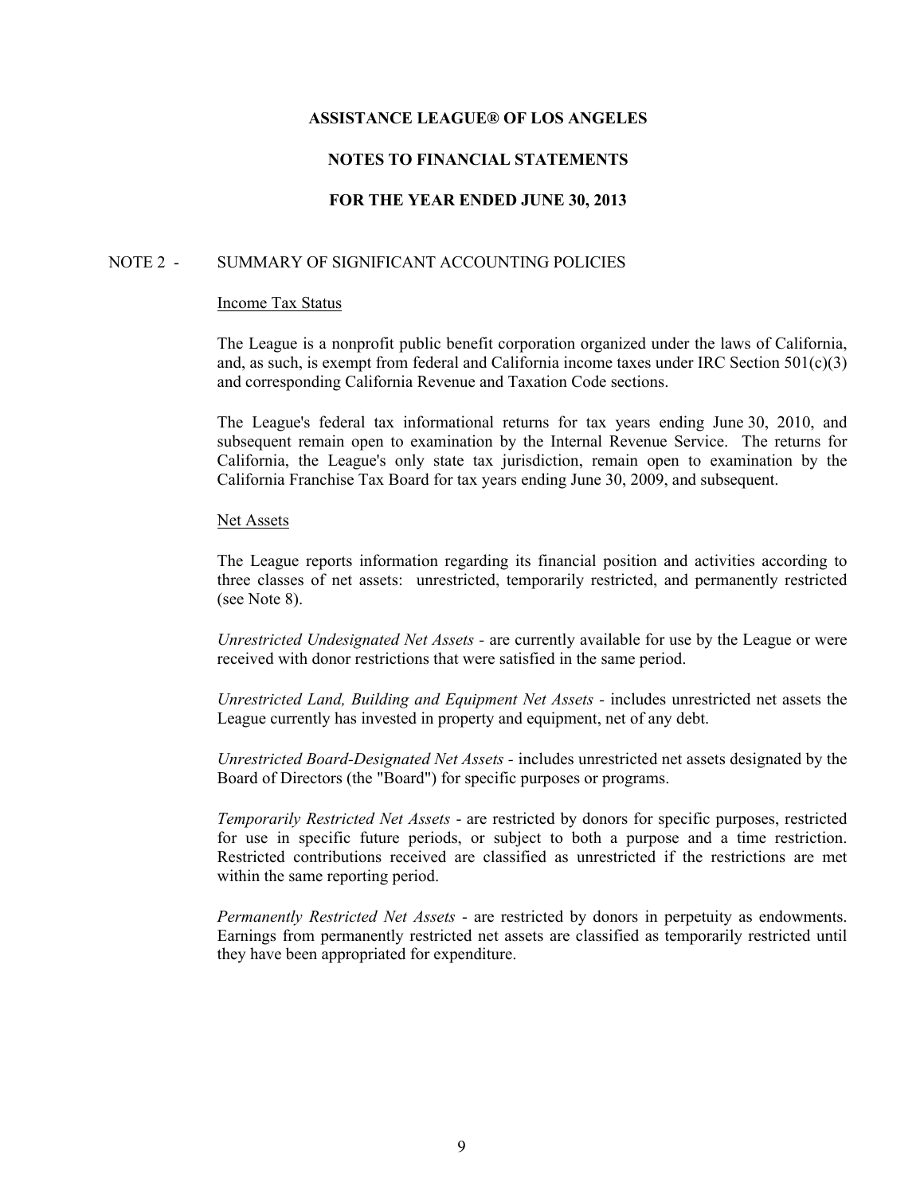# **NOTES TO FINANCIAL STATEMENTS**

# **FOR THE YEAR ENDED JUNE 30, 2013**

### NOTE 2 - SUMMARY OF SIGNIFICANT ACCOUNTING POLICIES

#### Income Tax Status

The League is a nonprofit public benefit corporation organized under the laws of California, and, as such, is exempt from federal and California income taxes under IRC Section  $501(c)(3)$ and corresponding California Revenue and Taxation Code sections.

The League's federal tax informational returns for tax years ending June 30, 2010, and subsequent remain open to examination by the Internal Revenue Service. The returns for California, the League's only state tax jurisdiction, remain open to examination by the California Franchise Tax Board for tax years ending June 30, 2009, and subsequent.

#### Net Assets

The League reports information regarding its financial position and activities according to three classes of net assets: unrestricted, temporarily restricted, and permanently restricted (see Note 8).

*Unrestricted Undesignated Net Assets -* are currently available for use by the League or were received with donor restrictions that were satisfied in the same period.

*Unrestricted Land, Building and Equipment Net Assets -* includes unrestricted net assets the League currently has invested in property and equipment, net of any debt.

*Unrestricted Board-Designated Net Assets -* includes unrestricted net assets designated by the Board of Directors (the "Board") for specific purposes or programs.

*Temporarily Restricted Net Assets* - are restricted by donors for specific purposes, restricted for use in specific future periods, or subject to both a purpose and a time restriction. Restricted contributions received are classified as unrestricted if the restrictions are met within the same reporting period.

*Permanently Restricted Net Assets* - are restricted by donors in perpetuity as endowments. Earnings from permanently restricted net assets are classified as temporarily restricted until they have been appropriated for expenditure.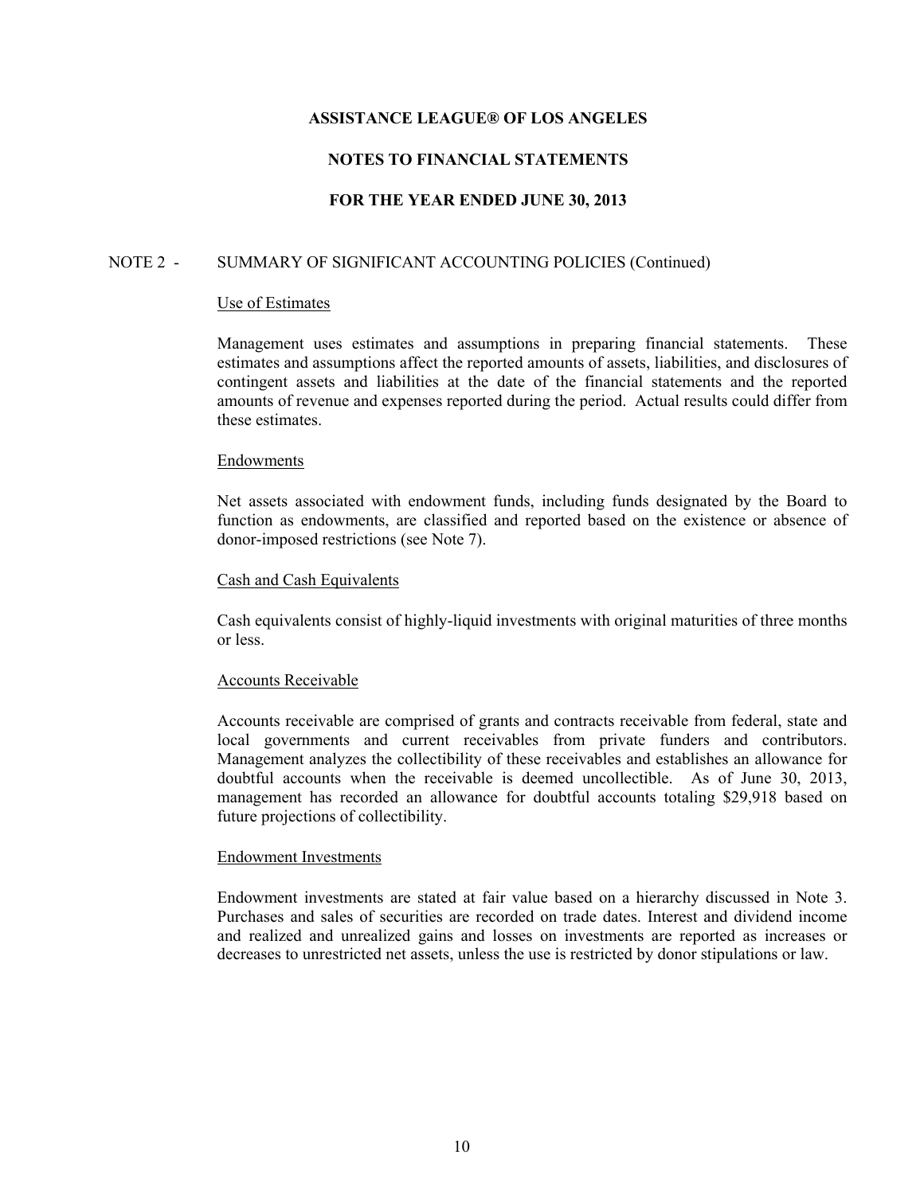# **NOTES TO FINANCIAL STATEMENTS**

# **FOR THE YEAR ENDED JUNE 30, 2013**

# NOTE 2 - SUMMARY OF SIGNIFICANT ACCOUNTING POLICIES (Continued)

#### Use of Estimates

Management uses estimates and assumptions in preparing financial statements. These estimates and assumptions affect the reported amounts of assets, liabilities, and disclosures of contingent assets and liabilities at the date of the financial statements and the reported amounts of revenue and expenses reported during the period. Actual results could differ from these estimates.

### Endowments

Net assets associated with endowment funds, including funds designated by the Board to function as endowments, are classified and reported based on the existence or absence of donor-imposed restrictions (see Note 7).

#### Cash and Cash Equivalents

Cash equivalents consist of highly-liquid investments with original maturities of three months or less.

### Accounts Receivable

Accounts receivable are comprised of grants and contracts receivable from federal, state and local governments and current receivables from private funders and contributors. Management analyzes the collectibility of these receivables and establishes an allowance for doubtful accounts when the receivable is deemed uncollectible. As of June 30, 2013, management has recorded an allowance for doubtful accounts totaling \$29,918 based on future projections of collectibility.

### Endowment Investments

Endowment investments are stated at fair value based on a hierarchy discussed in Note 3. Purchases and sales of securities are recorded on trade dates. Interest and dividend income and realized and unrealized gains and losses on investments are reported as increases or decreases to unrestricted net assets, unless the use is restricted by donor stipulations or law.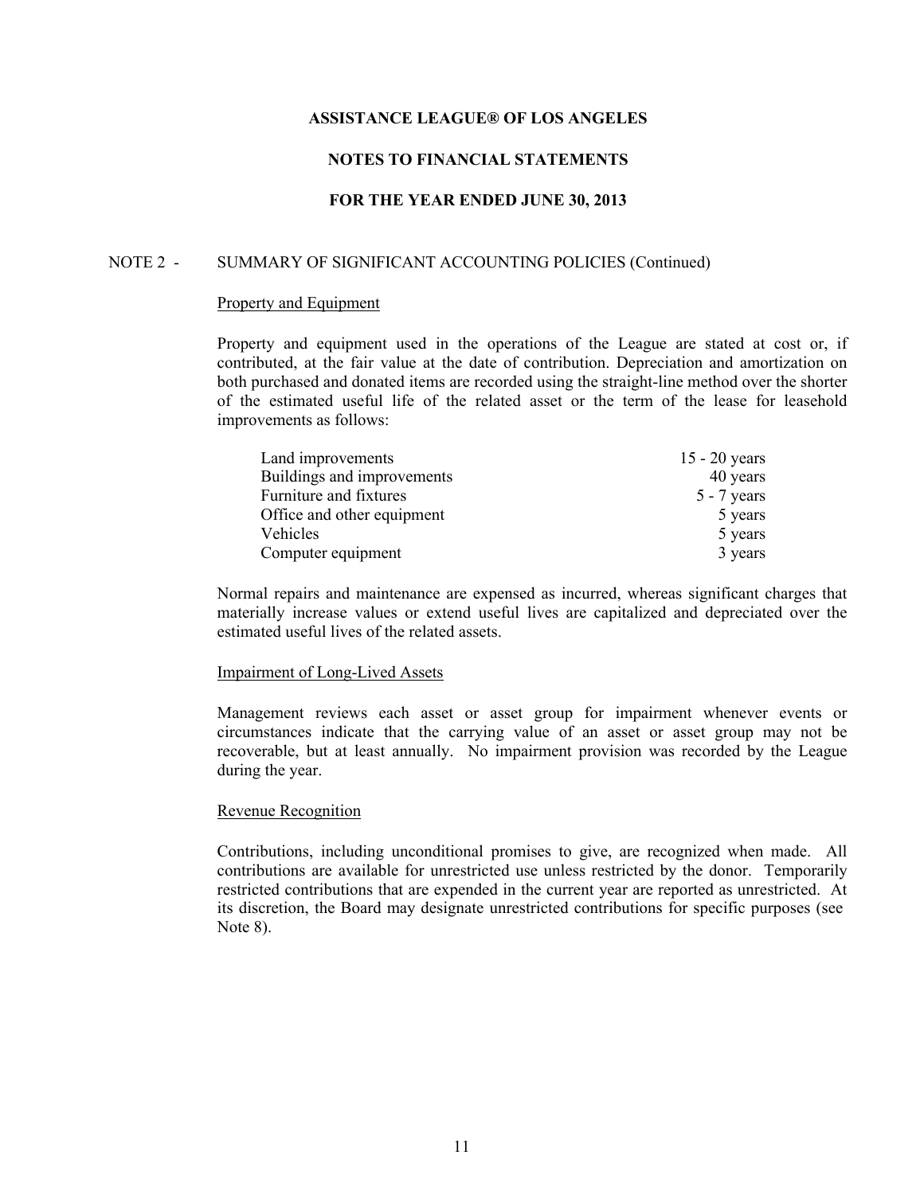# **NOTES TO FINANCIAL STATEMENTS**

# **FOR THE YEAR ENDED JUNE 30, 2013**

## NOTE 2 - SUMMARY OF SIGNIFICANT ACCOUNTING POLICIES (Continued)

#### Property and Equipment

Property and equipment used in the operations of the League are stated at cost or, if contributed, at the fair value at the date of contribution. Depreciation and amortization on both purchased and donated items are recorded using the straight-line method over the shorter of the estimated useful life of the related asset or the term of the lease for leasehold improvements as follows:

| Land improvements          | $15 - 20$ years |
|----------------------------|-----------------|
| Buildings and improvements | 40 years        |
| Furniture and fixtures     | $5 - 7$ years   |
| Office and other equipment | 5 years         |
| <b>Vehicles</b>            | 5 years         |
| Computer equipment         | 3 years         |

Normal repairs and maintenance are expensed as incurred, whereas significant charges that materially increase values or extend useful lives are capitalized and depreciated over the estimated useful lives of the related assets.

### Impairment of Long-Lived Assets

Management reviews each asset or asset group for impairment whenever events or circumstances indicate that the carrying value of an asset or asset group may not be recoverable, but at least annually. No impairment provision was recorded by the League during the year.

### Revenue Recognition

Contributions, including unconditional promises to give, are recognized when made. All contributions are available for unrestricted use unless restricted by the donor. Temporarily restricted contributions that are expended in the current year are reported as unrestricted. At its discretion, the Board may designate unrestricted contributions for specific purposes (see Note 8).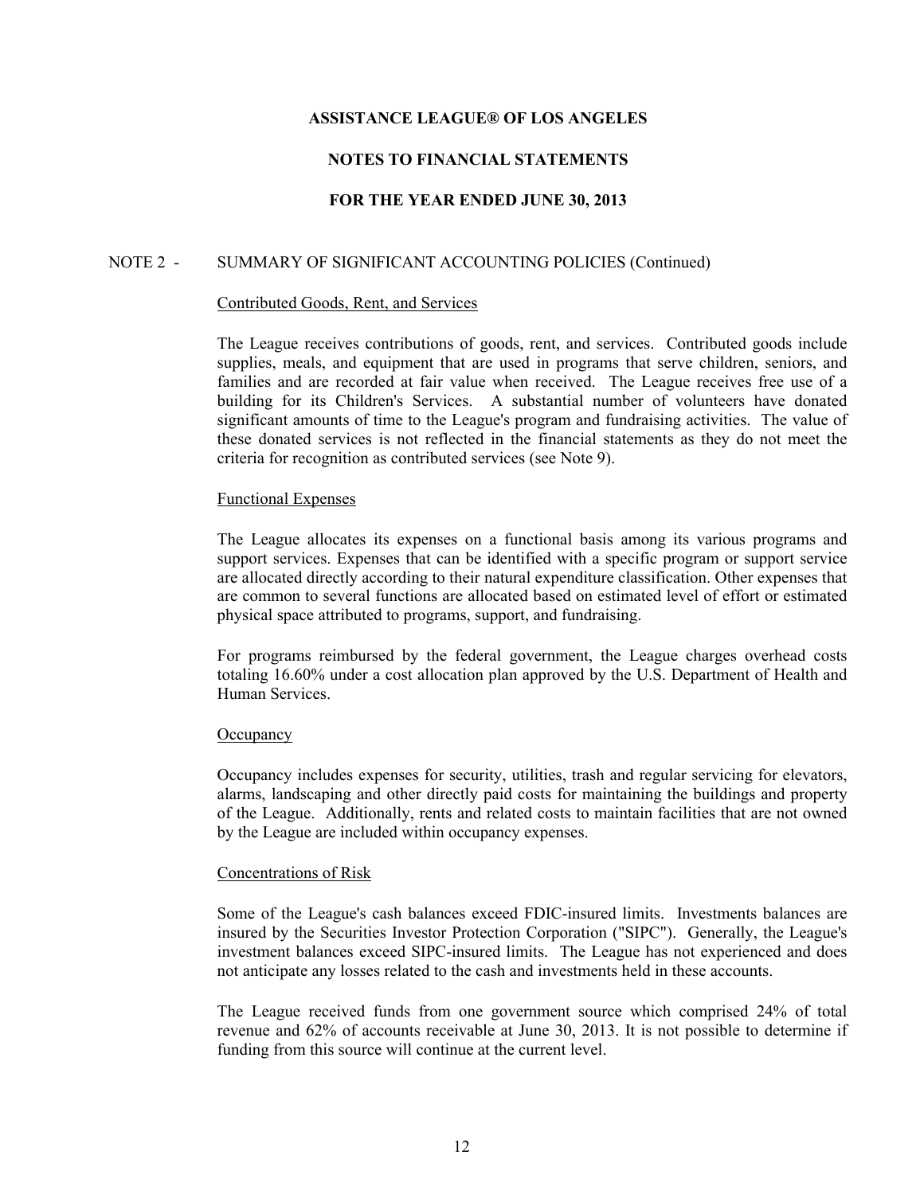# **NOTES TO FINANCIAL STATEMENTS**

# **FOR THE YEAR ENDED JUNE 30, 2013**

# NOTE 2 - SUMMARY OF SIGNIFICANT ACCOUNTING POLICIES (Continued)

#### Contributed Goods, Rent, and Services

The League receives contributions of goods, rent, and services. Contributed goods include supplies, meals, and equipment that are used in programs that serve children, seniors, and families and are recorded at fair value when received. The League receives free use of a building for its Children's Services. A substantial number of volunteers have donated significant amounts of time to the League's program and fundraising activities. The value of these donated services is not reflected in the financial statements as they do not meet the criteria for recognition as contributed services (see Note 9).

#### Functional Expenses

The League allocates its expenses on a functional basis among its various programs and support services. Expenses that can be identified with a specific program or support service are allocated directly according to their natural expenditure classification. Other expenses that are common to several functions are allocated based on estimated level of effort or estimated physical space attributed to programs, support, and fundraising.

For programs reimbursed by the federal government, the League charges overhead costs totaling 16.60% under a cost allocation plan approved by the U.S. Department of Health and Human Services.

### **Occupancy**

Occupancy includes expenses for security, utilities, trash and regular servicing for elevators, alarms, landscaping and other directly paid costs for maintaining the buildings and property of the League. Additionally, rents and related costs to maintain facilities that are not owned by the League are included within occupancy expenses.

### Concentrations of Risk

Some of the League's cash balances exceed FDIC-insured limits. Investments balances are insured by the Securities Investor Protection Corporation ("SIPC"). Generally, the League's investment balances exceed SIPC-insured limits. The League has not experienced and does not anticipate any losses related to the cash and investments held in these accounts.

The League received funds from one government source which comprised 24% of total revenue and 62% of accounts receivable at June 30, 2013. It is not possible to determine if funding from this source will continue at the current level.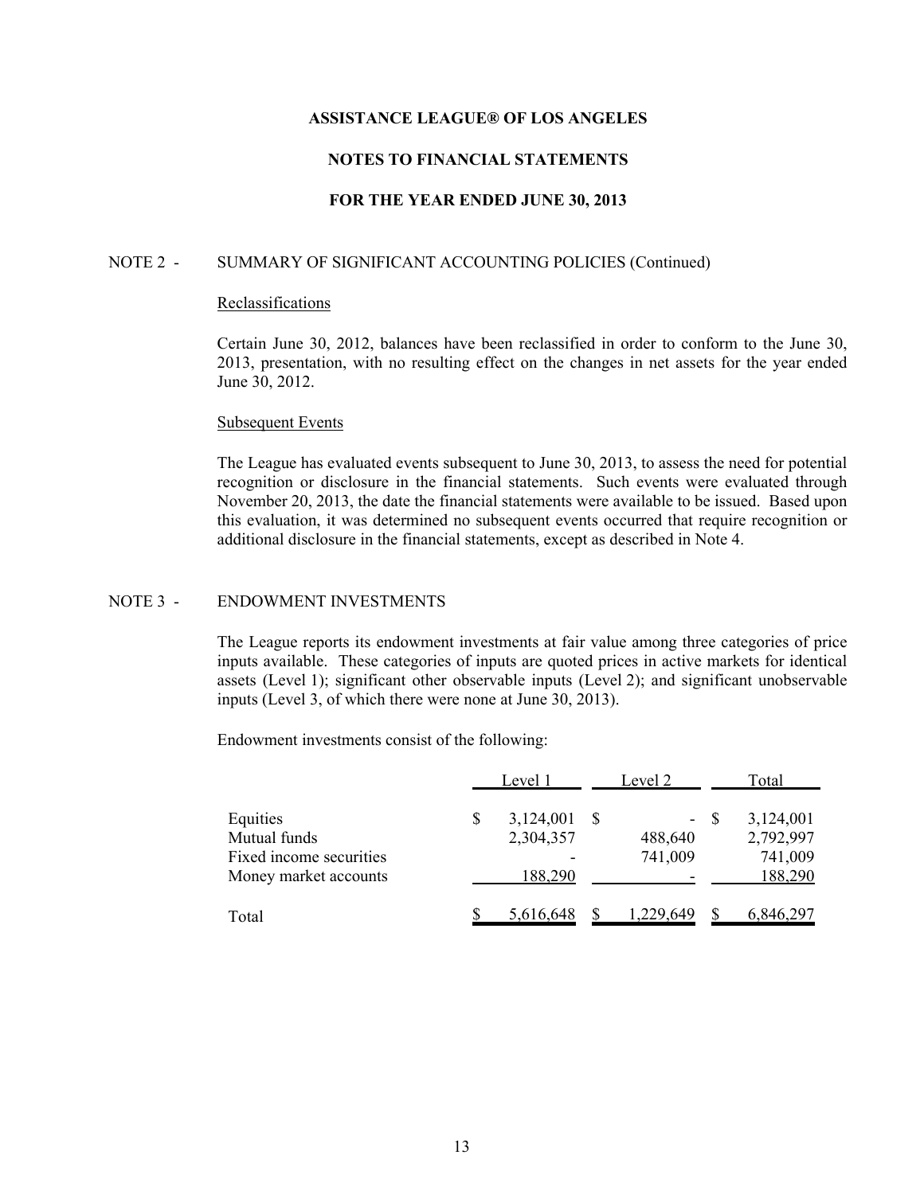# **NOTES TO FINANCIAL STATEMENTS**

# **FOR THE YEAR ENDED JUNE 30, 2013**

## NOTE 2 - SUMMARY OF SIGNIFICANT ACCOUNTING POLICIES (Continued)

#### Reclassifications

Certain June 30, 2012, balances have been reclassified in order to conform to the June 30, 2013, presentation, with no resulting effect on the changes in net assets for the year ended June 30, 2012.

### Subsequent Events

The League has evaluated events subsequent to June 30, 2013, to assess the need for potential recognition or disclosure in the financial statements. Such events were evaluated through November 20, 2013, the date the financial statements were available to be issued. Based upon this evaluation, it was determined no subsequent events occurred that require recognition or additional disclosure in the financial statements, except as described in Note 4.

## NOTE 3 - ENDOWMENT INVESTMENTS

The League reports its endowment investments at fair value among three categories of price inputs available. These categories of inputs are quoted prices in active markets for identical assets (Level 1); significant other observable inputs (Level 2); and significant unobservable inputs (Level 3, of which there were none at June 30, 2013).

Endowment investments consist of the following:

|                                                                              | Level 1 |                                   |    | Level 2            |      | Total                                               |  |  |
|------------------------------------------------------------------------------|---------|-----------------------------------|----|--------------------|------|-----------------------------------------------------|--|--|
| Equities<br>Mutual funds<br>Fixed income securities<br>Money market accounts |         | 3,124,001<br>2,304,357<br>188,290 | -S | 488,640<br>741,009 | - \$ | 3,124,001<br>2,792,997<br>741,009<br><u>188,290</u> |  |  |
| Total                                                                        |         | 5,616,648                         |    | 1.229.649          |      | 6,846,297                                           |  |  |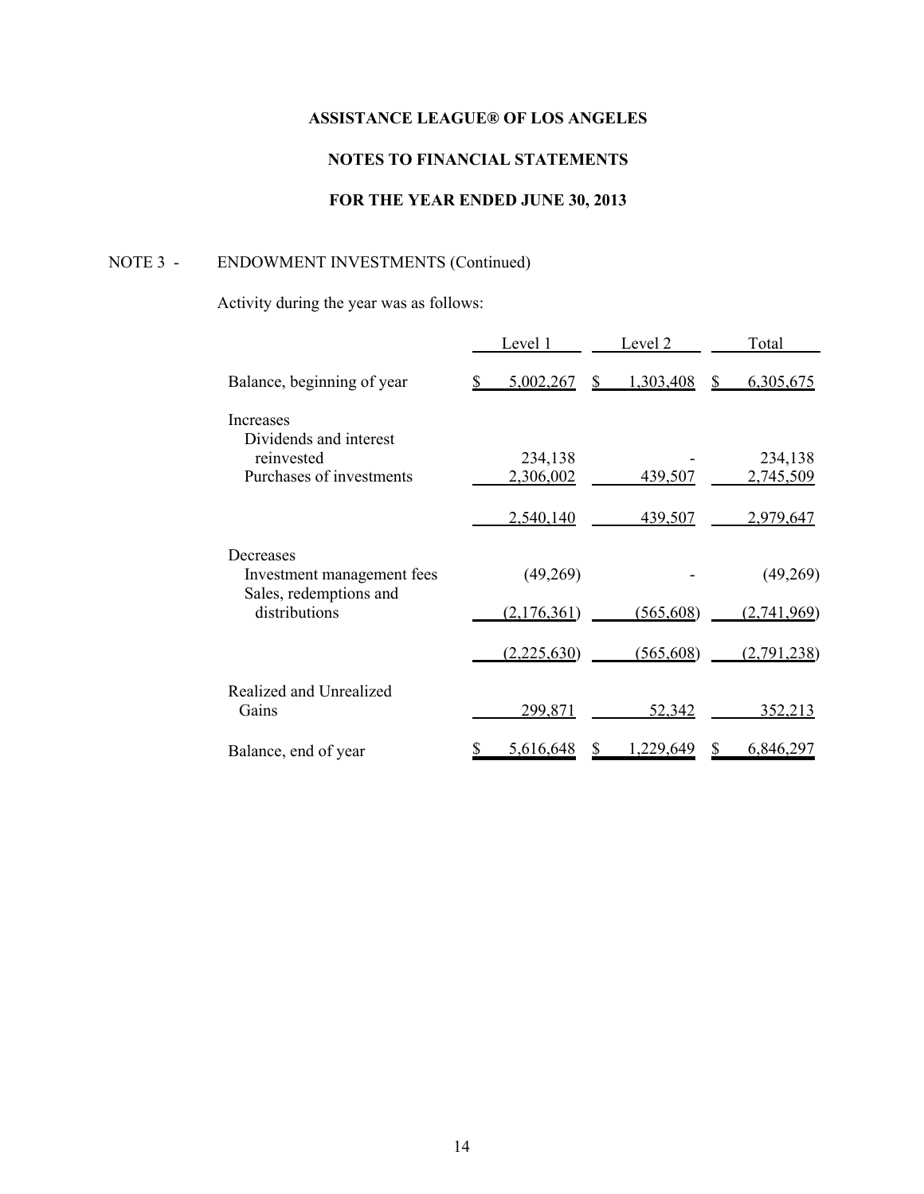# **NOTES TO FINANCIAL STATEMENTS**

# **FOR THE YEAR ENDED JUNE 30, 2013**

# NOTE 3 - ENDOWMENT INVESTMENTS (Continued)

Activity during the year was as follows:

|                                                                   | Level 1     | Level 2        | Total          |
|-------------------------------------------------------------------|-------------|----------------|----------------|
| Balance, beginning of year                                        | 5,002,267   | 1,303,408<br>S | 6,305,675<br>S |
| Increases<br>Dividends and interest                               |             |                |                |
| reinvested                                                        | 234,138     |                | 234,138        |
| Purchases of investments                                          | 2,306,002   | 439,507        | 2,745,509      |
|                                                                   | 2,540,140   | 439,507        | 2,979,647      |
| Decreases<br>Investment management fees<br>Sales, redemptions and | (49,269)    |                | (49,269)       |
| distributions                                                     | (2,176,361) | (565, 608)     | (2,741,969)    |
|                                                                   | (2,225,630) | (565, 608)     | (2,791,238)    |
| Realized and Unrealized<br>Gains                                  | 299,871     | 52,342         | 352,213        |
| Balance, end of year                                              | 5,616,648   | ,229,649       | 6,846,297      |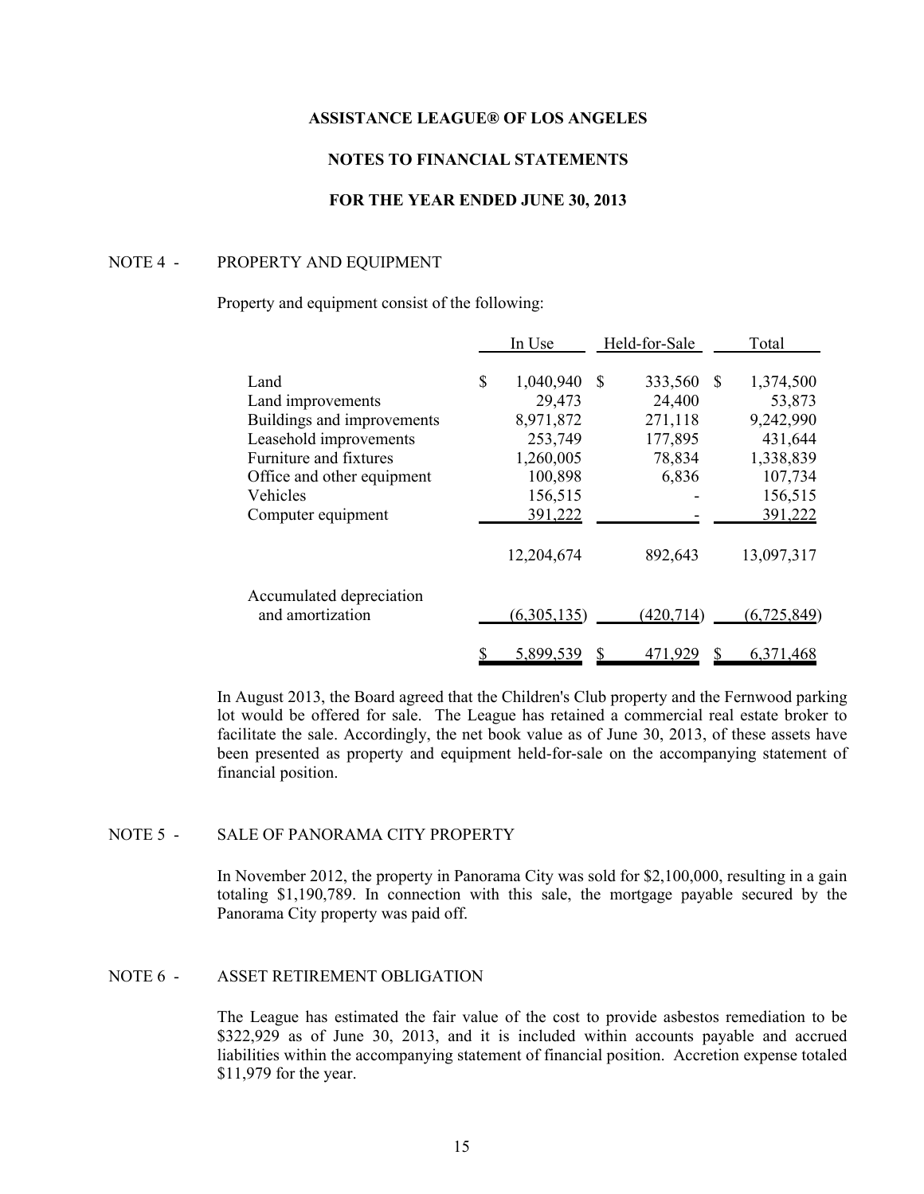# **NOTES TO FINANCIAL STATEMENTS**

# **FOR THE YEAR ENDED JUNE 30, 2013**

#### NOTE 4 - PROPERTY AND EQUIPMENT

### Property and equipment consist of the following:

|                            | In Use          |    | Held-for-Sale |    | Total         |
|----------------------------|-----------------|----|---------------|----|---------------|
| Land                       | \$<br>1,040,940 | -S | 333,560       | -S | 1,374,500     |
| Land improvements          | 29,473          |    | 24,400        |    | 53,873        |
| Buildings and improvements | 8,971,872       |    | 271,118       |    | 9,242,990     |
| Leasehold improvements     | 253,749         |    | 177,895       |    | 431,644       |
| Furniture and fixtures     | 1,260,005       |    | 78,834        |    | 1,338,839     |
| Office and other equipment | 100,898         |    | 6,836         |    | 107,734       |
| Vehicles                   | 156,515         |    |               |    | 156,515       |
| Computer equipment         | 391,222         |    |               |    | 391,222       |
|                            | 12,204,674      |    | 892,643       |    | 13,097,317    |
| Accumulated depreciation   |                 |    |               |    |               |
| and amortization           | (6,305,135)     |    | (420, 714)    |    | (6, 725, 849) |
|                            | 5,899,539       |    |               |    | 6,371,468     |

In August 2013, the Board agreed that the Children's Club property and the Fernwood parking lot would be offered for sale. The League has retained a commercial real estate broker to facilitate the sale. Accordingly, the net book value as of June 30, 2013, of these assets have been presented as property and equipment held-for-sale on the accompanying statement of financial position.

# NOTE 5 - SALE OF PANORAMA CITY PROPERTY

In November 2012, the property in Panorama City was sold for \$2,100,000, resulting in a gain totaling \$1,190,789. In connection with this sale, the mortgage payable secured by the Panorama City property was paid off.

# NOTE 6 - ASSET RETIREMENT OBLIGATION

The League has estimated the fair value of the cost to provide asbestos remediation to be \$322,929 as of June 30, 2013, and it is included within accounts payable and accrued liabilities within the accompanying statement of financial position. Accretion expense totaled \$11,979 for the year.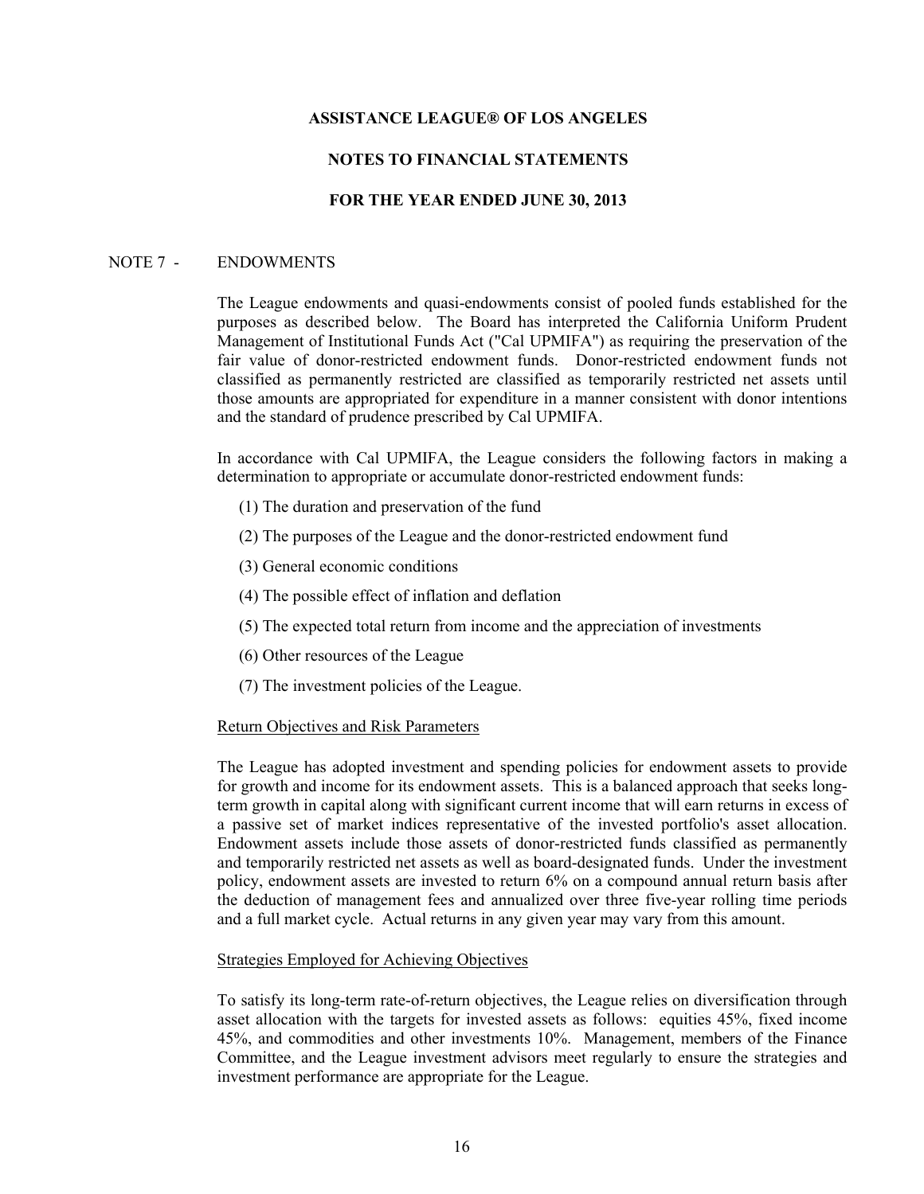# **NOTES TO FINANCIAL STATEMENTS**

## **FOR THE YEAR ENDED JUNE 30, 2013**

## NOTE 7 - ENDOWMENTS

The League endowments and quasi-endowments consist of pooled funds established for the purposes as described below. The Board has interpreted the California Uniform Prudent Management of Institutional Funds Act ("Cal UPMIFA") as requiring the preservation of the fair value of donor-restricted endowment funds. Donor-restricted endowment funds not classified as permanently restricted are classified as temporarily restricted net assets until those amounts are appropriated for expenditure in a manner consistent with donor intentions and the standard of prudence prescribed by Cal UPMIFA.

In accordance with Cal UPMIFA, the League considers the following factors in making a determination to appropriate or accumulate donor-restricted endowment funds:

- (1) The duration and preservation of the fund
- (2) The purposes of the League and the donor-restricted endowment fund
- (3) General economic conditions
- (4) The possible effect of inflation and deflation
- (5) The expected total return from income and the appreciation of investments
- (6) Other resources of the League
- (7) The investment policies of the League.

#### Return Objectives and Risk Parameters

The League has adopted investment and spending policies for endowment assets to provide for growth and income for its endowment assets. This is a balanced approach that seeks longterm growth in capital along with significant current income that will earn returns in excess of a passive set of market indices representative of the invested portfolio's asset allocation. Endowment assets include those assets of donor-restricted funds classified as permanently and temporarily restricted net assets as well as board-designated funds. Under the investment policy, endowment assets are invested to return 6% on a compound annual return basis after the deduction of management fees and annualized over three five-year rolling time periods and a full market cycle. Actual returns in any given year may vary from this amount.

#### Strategies Employed for Achieving Objectives

To satisfy its long-term rate-of-return objectives, the League relies on diversification through asset allocation with the targets for invested assets as follows: equities 45%, fixed income 45%, and commodities and other investments 10%. Management, members of the Finance Committee, and the League investment advisors meet regularly to ensure the strategies and investment performance are appropriate for the League.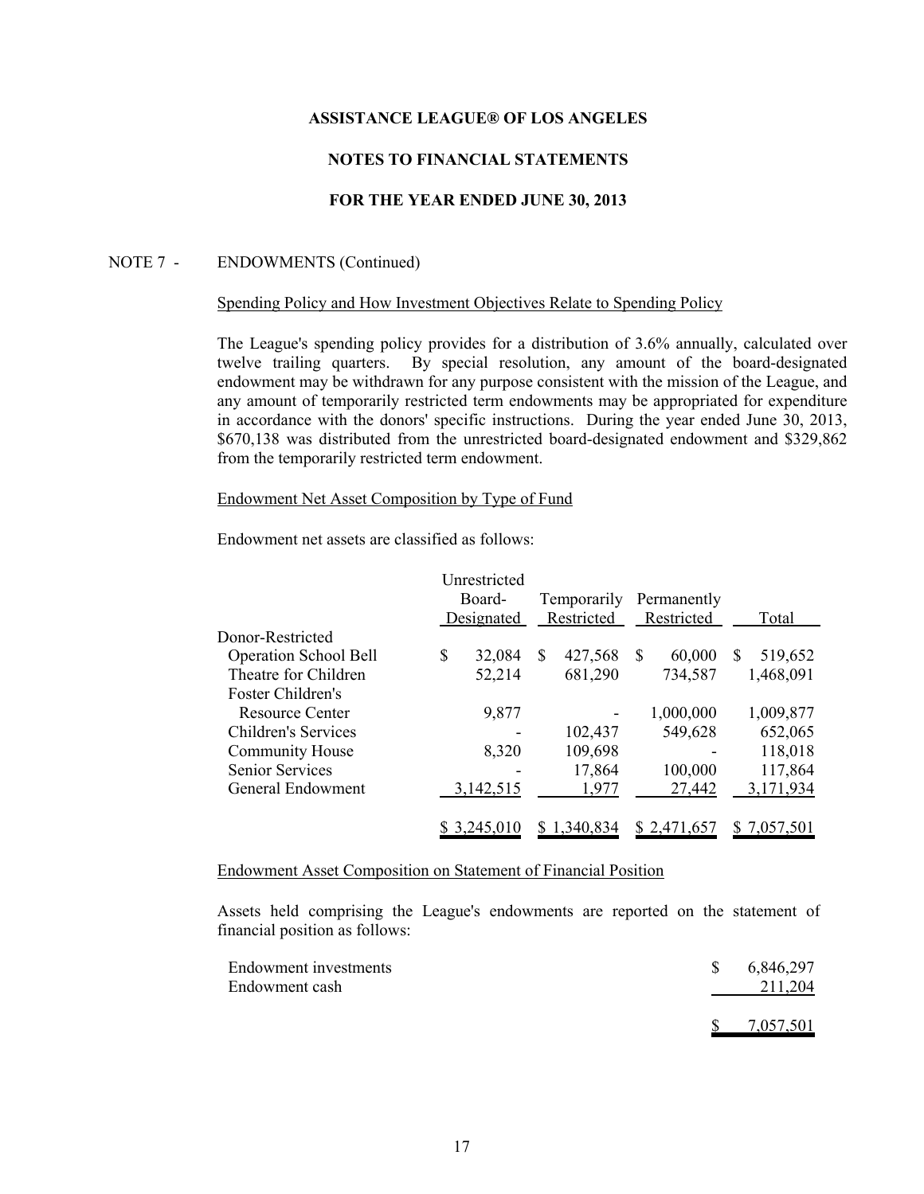# **NOTES TO FINANCIAL STATEMENTS**

# **FOR THE YEAR ENDED JUNE 30, 2013**

### NOTE 7 - ENDOWMENTS (Continued)

### Spending Policy and How Investment Objectives Relate to Spending Policy

The League's spending policy provides for a distribution of 3.6% annually, calculated over twelve trailing quarters. By special resolution, any amount of the board-designated endowment may be withdrawn for any purpose consistent with the mission of the League, and any amount of temporarily restricted term endowments may be appropriated for expenditure in accordance with the donors' specific instructions. During the year ended June 30, 2013, \$670,138 was distributed from the unrestricted board-designated endowment and \$329,862 from the temporarily restricted term endowment.

# Endowment Net Asset Composition by Type of Fund

Endowment net assets are classified as follows:

|                              | Unrestricted |   |             |              |   |           |
|------------------------------|--------------|---|-------------|--------------|---|-----------|
|                              | Board-       |   | Temporarily | Permanently  |   |           |
|                              | Designated   |   | Restricted  | Restricted   |   | Total     |
| Donor-Restricted             |              |   |             |              |   |           |
| <b>Operation School Bell</b> | \$<br>32,084 | S | 427,568     | \$<br>60,000 | S | 519,652   |
| Theatre for Children         | 52,214       |   | 681,290     | 734,587      |   | 1,468,091 |
| Foster Children's            |              |   |             |              |   |           |
| <b>Resource Center</b>       | 9,877        |   |             | 1,000,000    |   | 1,009,877 |
| <b>Children's Services</b>   |              |   | 102,437     | 549,628      |   | 652,065   |
| <b>Community House</b>       | 8,320        |   | 109,698     |              |   | 118,018   |
| <b>Senior Services</b>       |              |   | 17,864      | 100,000      |   | 117,864   |
| General Endowment            | 3,142,515    |   | 1,977       | 27,442       |   | 3,171,934 |
|                              |              |   |             |              |   |           |
|                              | \$ 3,245,010 |   | 1,340,834   | \$2.471.657  |   | 7,057,501 |
|                              |              |   |             |              |   |           |

Endowment Asset Composition on Statement of Financial Position

Assets held comprising the League's endowments are reported on the statement of financial position as follows:

| Endowment investments<br>Endowment cash | 6,846,297<br>211,204 |
|-----------------------------------------|----------------------|
|                                         | 7,057,501            |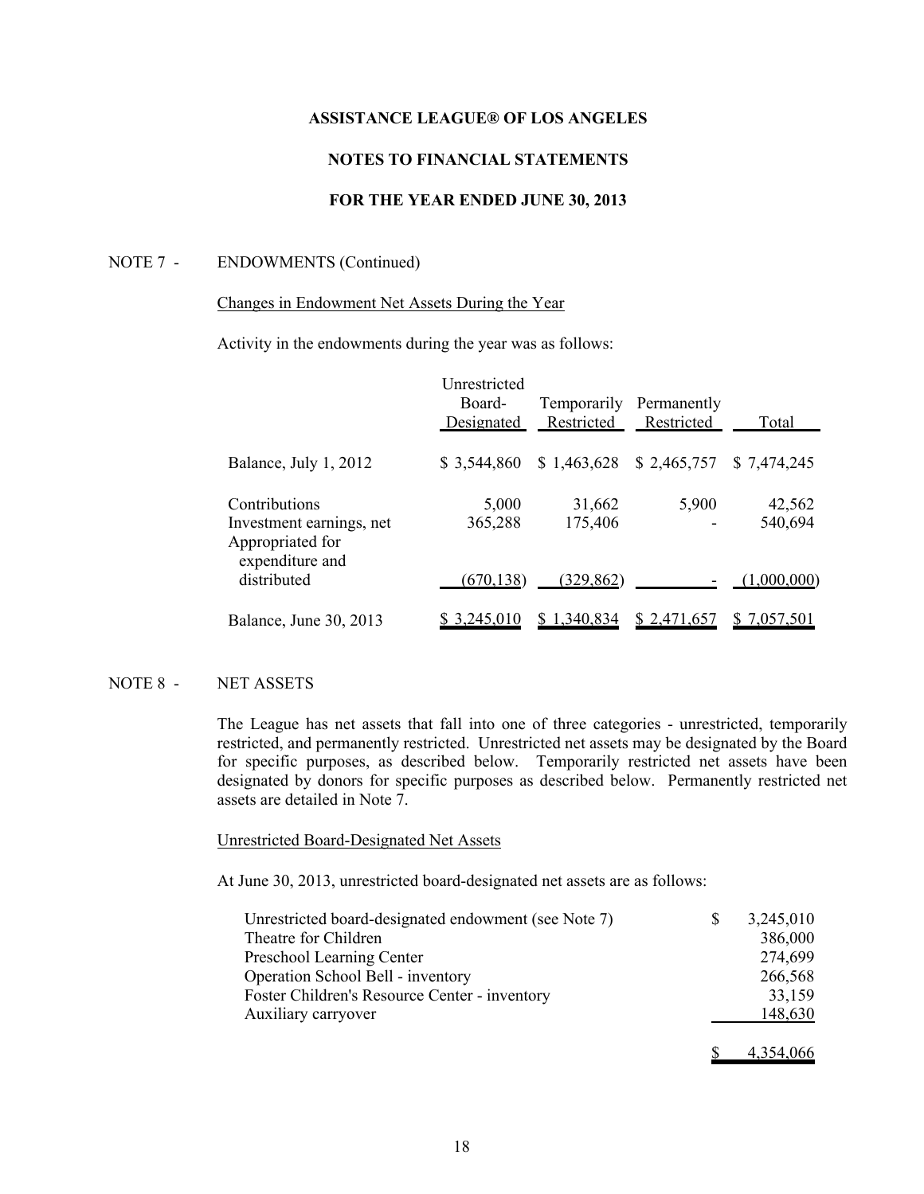# **NOTES TO FINANCIAL STATEMENTS**

# **FOR THE YEAR ENDED JUNE 30, 2013**

### NOTE 7 - ENDOWMENTS (Continued)

## Changes in Endowment Net Assets During the Year

Activity in the endowments during the year was as follows:

|                                                               | Unrestricted<br>Board-<br>Designated | Restricted        | Temporarily Permanently<br>Restricted | Total             |  |
|---------------------------------------------------------------|--------------------------------------|-------------------|---------------------------------------|-------------------|--|
| Balance, July 1, 2012                                         | \$3,544,860                          | \$1,463,628       | \$2,465,757                           | \$7,474,245       |  |
| Contributions<br>Investment earnings, net<br>Appropriated for | 5,000<br>365,288                     | 31,662<br>175,406 | 5,900                                 | 42,562<br>540,694 |  |
| expenditure and<br>distributed                                | (670, 138)                           | (329, 862)        |                                       | (1,000,000)       |  |
| Balance, June 30, 2013                                        | \$3,245,010                          | \$1,340,834       | \$2,471,657                           | \$7,057,501       |  |

### NOTE 8 - NET ASSETS

The League has net assets that fall into one of three categories - unrestricted, temporarily restricted, and permanently restricted. Unrestricted net assets may be designated by the Board for specific purposes, as described below. Temporarily restricted net assets have been designated by donors for specific purposes as described below. Permanently restricted net assets are detailed in Note 7.

### Unrestricted Board-Designated Net Assets

At June 30, 2013, unrestricted board-designated net assets are as follows:

| Unrestricted board-designated endowment (see Note 7) | \$<br>3,245,010 |
|------------------------------------------------------|-----------------|
| Theatre for Children                                 | 386,000         |
| Preschool Learning Center                            | 274,699         |
| Operation School Bell - inventory                    | 266,568         |
| Foster Children's Resource Center - inventory        | 33,159          |
| Auxiliary carryover                                  | <u>148,630</u>  |
|                                                      | 4.354.066       |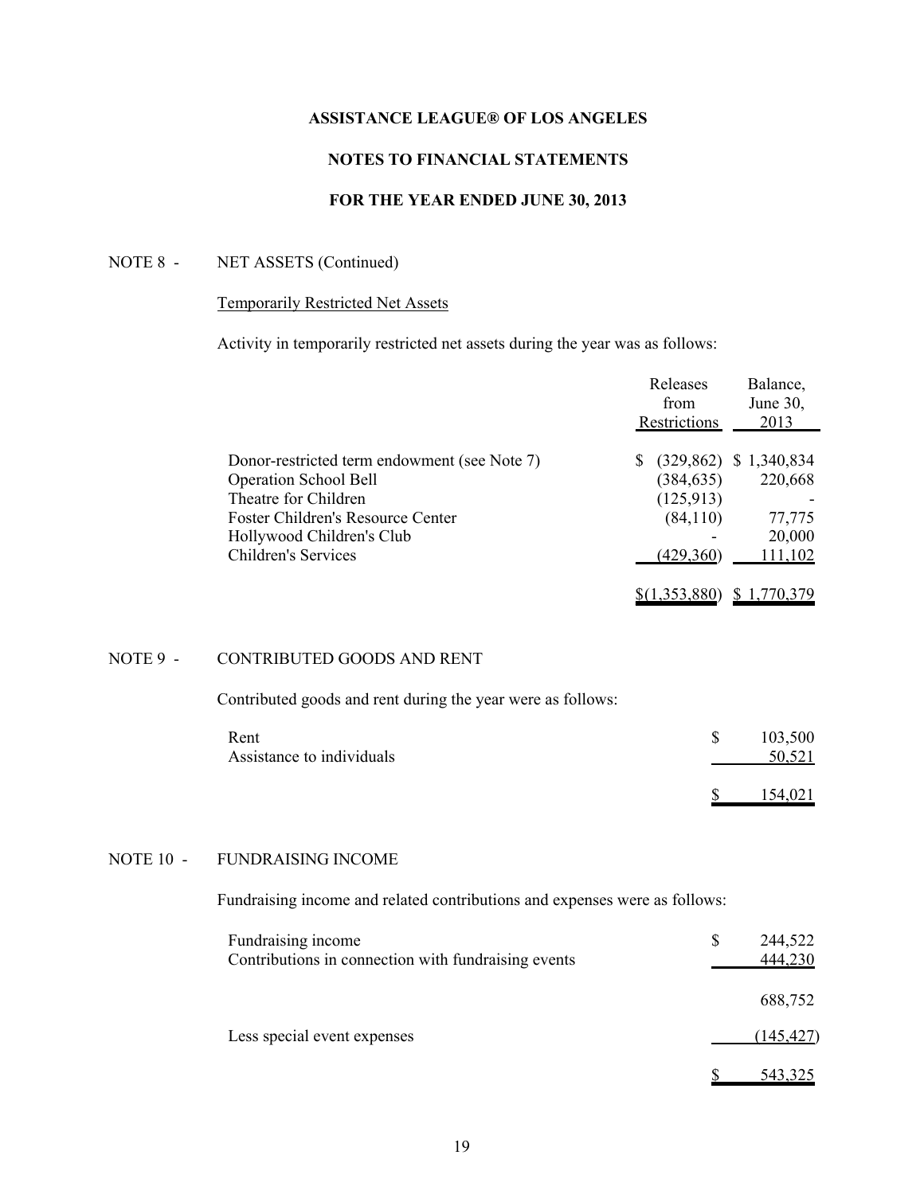# **NOTES TO FINANCIAL STATEMENTS**

# **FOR THE YEAR ENDED JUNE 30, 2013**

# NOTE 8 - NET ASSETS (Continued)

# Temporarily Restricted Net Assets

Activity in temporarily restricted net assets during the year was as follows:

|                                              | Releases<br>from     | Balance,<br>June 30,     |
|----------------------------------------------|----------------------|--------------------------|
|                                              | Restrictions         | 2013                     |
| Donor-restricted term endowment (see Note 7) | S.                   | $(329,862)$ \$ 1,340,834 |
| <b>Operation School Bell</b>                 | (384, 635)           | 220,668                  |
| Theatre for Children                         | (125, 913)           |                          |
| Foster Children's Resource Center            | (84, 110)            | 77,775                   |
| Hollywood Children's Club                    |                      | 20,000                   |
| <b>Children's Services</b>                   | (429,360)            | 111,102                  |
|                                              | <u>\$(1,353,880)</u> | 1,770,379                |

# NOTE 9 - CONTRIBUTED GOODS AND RENT

Contributed goods and rent during the year were as follows:

| Rent                      | 103,500 |
|---------------------------|---------|
| Assistance to individuals | 50,521  |
|                           | 154,021 |

# NOTE 10 - FUNDRAISING INCOME

Fundraising income and related contributions and expenses were as follows:

| Fundraising income<br>Contributions in connection with fundraising events | 244,522<br>\$<br>444,230 |
|---------------------------------------------------------------------------|--------------------------|
|                                                                           | 688,752                  |
| Less special event expenses                                               | (145, 427)               |
|                                                                           | 543,325                  |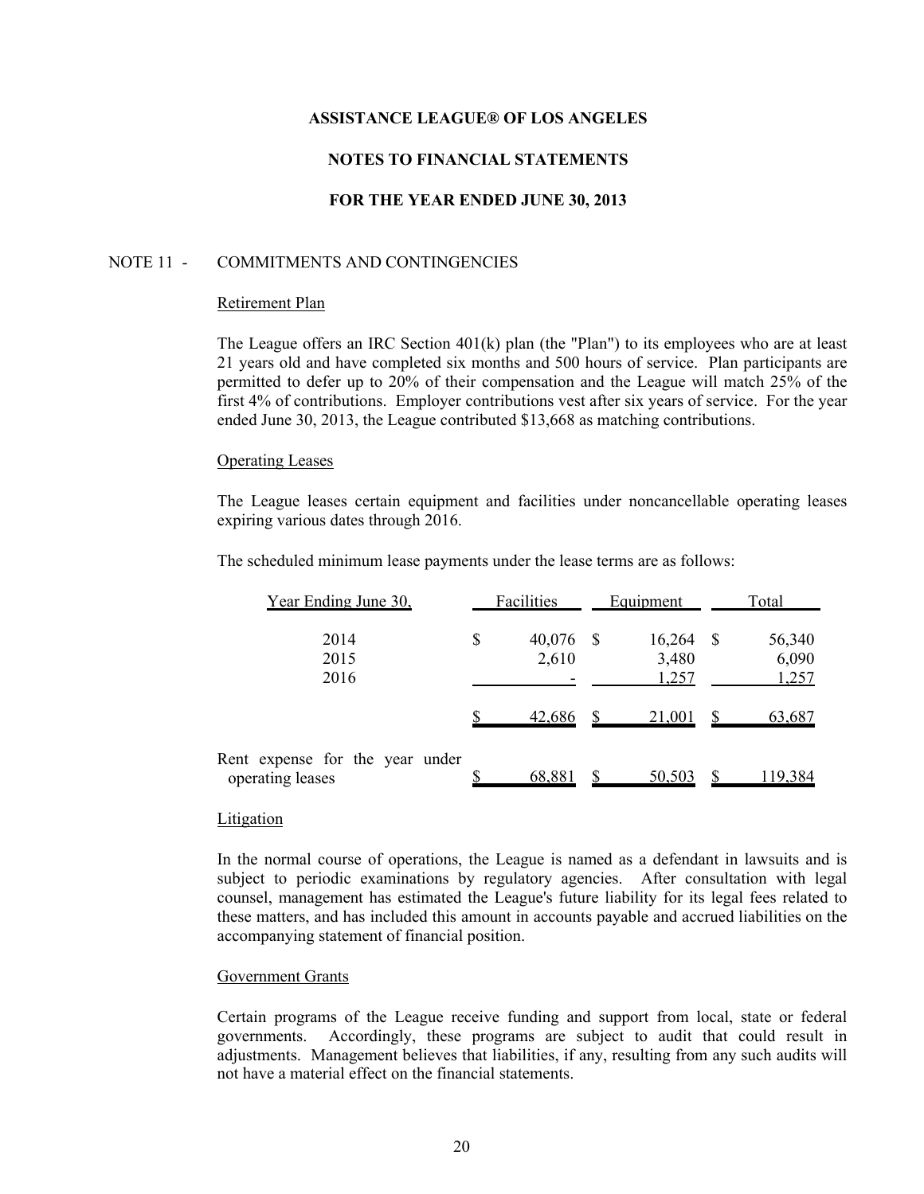# **NOTES TO FINANCIAL STATEMENTS**

# **FOR THE YEAR ENDED JUNE 30, 2013**

## NOTE 11 - COMMITMENTS AND CONTINGENCIES

#### Retirement Plan

The League offers an IRC Section  $401(k)$  plan (the "Plan") to its employees who are at least 21 years old and have completed six months and 500 hours of service. Plan participants are permitted to defer up to 20% of their compensation and the League will match 25% of the first 4% of contributions. Employer contributions vest after six years of service. For the year ended June 30, 2013, the League contributed \$13,668 as matching contributions.

#### Operating Leases

The League leases certain equipment and facilities under noncancellable operating leases expiring various dates through 2016.

The scheduled minimum lease payments under the lease terms are as follows:

| Year Ending June 30,                                | Facilities            |     | Equipment                |    | Total                    |
|-----------------------------------------------------|-----------------------|-----|--------------------------|----|--------------------------|
| 2014<br>2015<br>2016                                | \$<br>40,076<br>2,610 | - S | 16,264<br>3,480<br>1,257 | -S | 56,340<br>6,090<br>1,257 |
|                                                     | 42,686                |     | 21,001                   |    | 63,687                   |
| Rent expense for the year under<br>operating leases | 68,881                |     | 50,503                   |    | 119,384                  |

#### Litigation

In the normal course of operations, the League is named as a defendant in lawsuits and is subject to periodic examinations by regulatory agencies. After consultation with legal counsel, management has estimated the League's future liability for its legal fees related to these matters, and has included this amount in accounts payable and accrued liabilities on the accompanying statement of financial position.

### Government Grants

Certain programs of the League receive funding and support from local, state or federal governments. Accordingly, these programs are subject to audit that could result in adjustments. Management believes that liabilities, if any, resulting from any such audits will not have a material effect on the financial statements.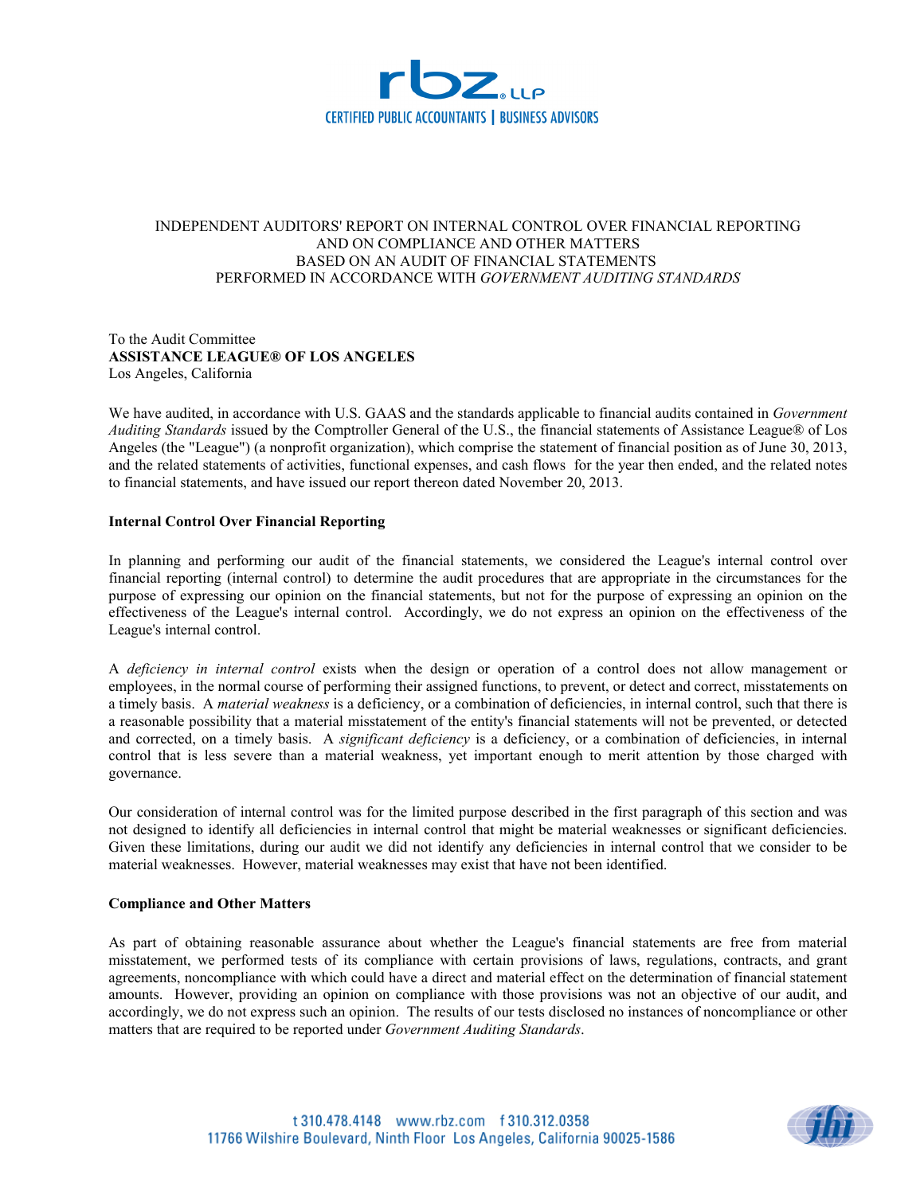

# INDEPENDENT AUDITORS' REPORT ON INTERNAL CONTROL OVER FINANCIAL REPORTING AND ON COMPLIANCE AND OTHER MATTERS BASED ON AN AUDIT OF FINANCIAL STATEMENTS PERFORMED IN ACCORDANCE WITH *GOVERNMENT AUDITING STANDARDS*

### To the Audit Committee **ASSISTANCE LEAGUE® OF LOS ANGELES** Los Angeles, California

We have audited, in accordance with U.S. GAAS and the standards applicable to financial audits contained in *Government Auditing Standards* issued by the Comptroller General of the U.S., the financial statements of Assistance League® of Los Angeles (the "League") (a nonprofit organization), which comprise the statement of financial position as of June 30, 2013, and the related statements of activities, functional expenses, and cash flows for the year then ended, and the related notes to financial statements, and have issued our report thereon dated November 20, 2013.

### **Internal Control Over Financial Reporting**

In planning and performing our audit of the financial statements, we considered the League's internal control over financial reporting (internal control) to determine the audit procedures that are appropriate in the circumstances for the purpose of expressing our opinion on the financial statements, but not for the purpose of expressing an opinion on the effectiveness of the League's internal control. Accordingly, we do not express an opinion on the effectiveness of the League's internal control.

A *deficiency in internal control* exists when the design or operation of a control does not allow management or employees, in the normal course of performing their assigned functions, to prevent, or detect and correct, misstatements on a timely basis. A *material weakness* is a deficiency, or a combination of deficiencies, in internal control, such that there is a reasonable possibility that a material misstatement of the entity's financial statements will not be prevented, or detected and corrected, on a timely basis. A *significant deficiency* is a deficiency, or a combination of deficiencies, in internal control that is less severe than a material weakness, yet important enough to merit attention by those charged with governance.

Our consideration of internal control was for the limited purpose described in the first paragraph of this section and was not designed to identify all deficiencies in internal control that might be material weaknesses or significant deficiencies. Given these limitations, during our audit we did not identify any deficiencies in internal control that we consider to be material weaknesses. However, material weaknesses may exist that have not been identified.

#### **Compliance and Other Matters**

As part of obtaining reasonable assurance about whether the League's financial statements are free from material misstatement, we performed tests of its compliance with certain provisions of laws, regulations, contracts, and grant agreements, noncompliance with which could have a direct and material effect on the determination of financial statement amounts. However, providing an opinion on compliance with those provisions was not an objective of our audit, and accordingly, we do not express such an opinion. The results of our tests disclosed no instances of noncompliance or other matters that are required to be reported under *Government Auditing Standards*.